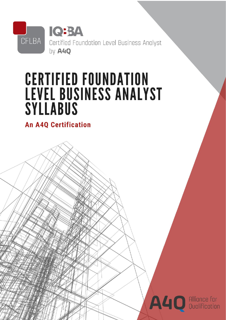

# **CERTIFIED FOUNDATION LEVEL BUSINESS ANALYST SYLLABUS**

**An A4Q Certification** 

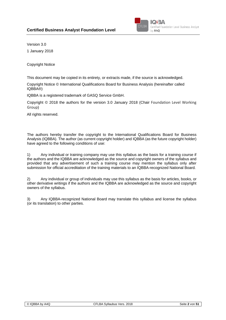

Version 3.0

1 January 2018

Copyright Notice

This document may be copied in its entirety, or extracts made, if the source is acknowledged.

Copyright Notice © International Qualifications Board for Business Analysis (hereinafter called IQBBA®)

IQBBA is a registered trademark of GASQ Service GmbH.

Copyright © 2018 the authors for the version 3.0 January 2018 (Chair Foundation Level Working Group)

All rights reserved.

The authors hereby transfer the copyright to the International Qualifications Board for Business Analysis (IQBBA). The author (as current copyright holder) and IQBBA (as the future copyright holder) have agreed to the following conditions of use:

1) Any individual or training company may use this syllabus as the basis for a training course if the authors and the IQBBA are acknowledged as the source and copyright owners of the syllabus and provided that any advertisement of such a training course may mention the syllabus only after submission for official accreditation of the training materials to an IQBBA-recognized National Board.

2) Any individual or group of individuals may use this syllabus as the basis for articles, books, or other derivative writings if the authors and the IQBBA are acknowledged as the source and copyright owners of the syllabus.

3) Any IQBBA-recognized National Board may translate this syllabus and license the syllabus (or its translation) to other parties.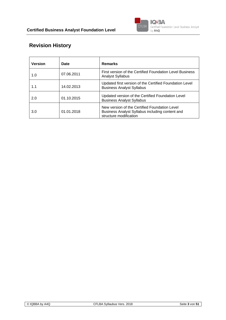

# **Revision History**

| <b>Version</b> | Date       | <b>Remarks</b>                                                                                                             |
|----------------|------------|----------------------------------------------------------------------------------------------------------------------------|
| 1.0            | 07.06.2011 | First version of the Certified Foundation Level Business<br><b>Analyst Syllabus</b>                                        |
| 1.1            | 14.02.2013 | Updated first version of the Certified Foundation Level<br><b>Business Analyst Syllabus</b>                                |
| 2.0            | 01.10.2015 | Updated version of the Certified Foundation Level<br><b>Business Analyst Syllabus</b>                                      |
| 3.0            | 01.01.2018 | New version of the Certified Foundation Level<br>Business Analyst Syllabus including content and<br>structure modification |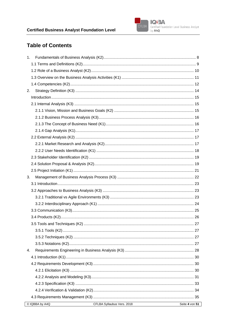

# **Table of Contents**

| 1.                                           |                |
|----------------------------------------------|----------------|
|                                              |                |
|                                              |                |
|                                              |                |
|                                              |                |
| 2.                                           |                |
|                                              |                |
|                                              |                |
|                                              |                |
|                                              |                |
|                                              |                |
|                                              |                |
|                                              |                |
|                                              |                |
|                                              |                |
|                                              |                |
|                                              |                |
|                                              |                |
| 3.                                           |                |
|                                              |                |
|                                              |                |
|                                              |                |
|                                              |                |
|                                              |                |
|                                              |                |
|                                              |                |
|                                              |                |
|                                              |                |
|                                              |                |
| 4.                                           |                |
|                                              |                |
|                                              |                |
|                                              |                |
|                                              |                |
|                                              |                |
|                                              |                |
|                                              |                |
| C IQBBA by A4Q<br>CFLBA Syllaubus Vers. 2018 | Seite 4 von 51 |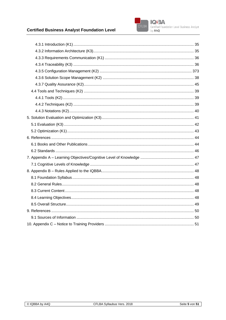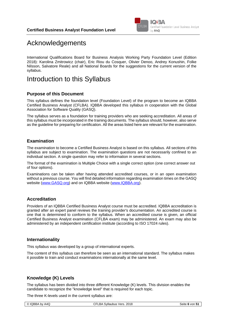

# Acknowledgements

International Qualifications Board for Business Analysis Working Party Foundation Level (Edition 2018): Karolina Zmitrowicz (chair), Eric Riou du Cosquer, Olivier Denoo, Andrey Konushin, Folke Nilsson, Salvatore Reale) and all National Boards for the suggestions for the current version of the syllabus.

# Introduction to this Syllabus

#### **Purpose of this Document**

This syllabus defines the foundation level (Foundation Level) of the program to become an IQBBA Certified Business Analyst (CFLBA). IQBBA developed this syllabus in cooperation with the Global Association for Software Quality (GASQ).

The syllabus serves as a foundation for training providers who are seeking accreditation. All areas of this syllabus must be incorporated in the training documents. The syllabus should, however, also serve as the guideline for preparing for certification. All the areas listed here are relevant for the examination.

#### **Examination**

The examination to become a Certified Business Analyst is based on this syllabus. All sections of this syllabus are subject to examination. The examination questions are not necessarily confined to an individual section. A single question may refer to information in several sections.

The format of the examination is Multiple Choice with a single correct option (one correct answer out of four options).

Examinations can be taken after having attended accredited courses, or in an open examination without a previous course. You will find detailed information regarding examination times on the GASQ website [\(www.GASQ.org\) a](http://www.gasq.org/)nd on IQBBA website [\(www.IQBBA.org\).](http://www.ibaqb.org/)

#### **Accreditation**

Providers of an IQBBA Certified Business Analyst course must be accredited. IQBBA accreditation is granted after an expert panel reviews the training provider's documentation. An accredited course is one that is determined to conform to the syllabus. When an accredited course is given, an official Certified Business Analyst examination (CFLBA exam) may be administered. An exam may also be administered by an independent certification institute (according to ISO 17024 rules).

#### **Internationality**

This syllabus was developed by a group of international experts.

The content of this syllabus can therefore be seen as an international standard. The syllabus makes it possible to train and conduct examinations internationally at the same level.

#### **Knowledge (K) Levels**

The syllabus has been divided into three different Knowledge (K) levels. This division enables the candidate to recognize the "knowledge level" that is required for each topic.

The three K-levels used in the current syllabus are: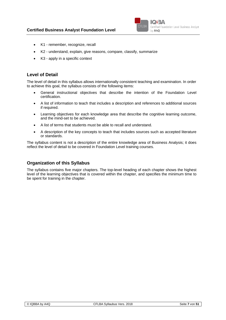

- K1 remember, recognize, recall
- K2 understand, explain, give reasons, compare, classify, summarize
- K3 apply in a specific context

#### **Level of Detail**

The level of detail in this syllabus allows internationally consistent teaching and examination. In order to achieve this goal, the syllabus consists of the following items:

- General instructional objectives that describe the intention of the Foundation Level certification.
- A list of information to teach that includes a description and references to additional sources if required.
- Learning objectives for each knowledge area that describe the cognitive learning outcome, and the mind-set to be achieved.
- A list of terms that students must be able to recall and understand.
- A description of the key concepts to teach that includes sources such as accepted literature or standards.

The syllabus content is not a description of the entire knowledge area of Business Analysis; it does reflect the level of detail to be covered in Foundation Level training courses.

#### **Organization of this Syllabus**

The syllabus contains five major chapters. The top-level heading of each chapter shows the highest level of the learning objectives that is covered within the chapter, and specifies the minimum time to be spent for training in the chapter.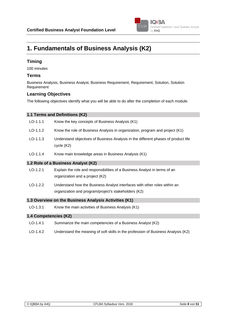

# **1. Fundamentals of Business Analysis (K2)**

#### **Timing**

100 minutes

#### **Terms**

Business Analysis, Business Analyst, Business Requirement, Requirement, Solution, Solution Requirement

#### **Learning Objectives**

The following objectives identify what you will be able to do after the completion of each module.

| 1.1 Terms and Definitions (K2)                        |                                                                                                                                   |  |
|-------------------------------------------------------|-----------------------------------------------------------------------------------------------------------------------------------|--|
| $LO-1.1.1$                                            | Know the key concepts of Business Analysis (K1)                                                                                   |  |
| $LO-1.1.2$                                            | Know the role of Business Analysis in organization, program and project (K1)                                                      |  |
| $LO-1.1.3$                                            | Understand objectives of Business Analysis in the different phases of product life<br>cycle (K2)                                  |  |
| $LO-1.1.4$                                            | Know main knowledge areas in Business Analysis (K1)                                                                               |  |
| 1.2 Role of a Business Analyst (K2)                   |                                                                                                                                   |  |
| $LO-1.2.1$                                            | Explain the role and responsibilities of a Business Analyst in terms of an<br>organization and a project (K2)                     |  |
| $LO-1.2.2$                                            | Understand how the Business Analyst interfaces with other roles within an<br>organization and program/project's stakeholders (K2) |  |
| 1.3 Overview on the Business Analysis Activities (K1) |                                                                                                                                   |  |

LO-1.3.1 Know the main activities of Business Analysis (K1)

#### **1.4 Competencies (K2)**

- LO-1.4.1 Summarize the main competencies of a Business Analyst (K2)
- LO-1.4.2 Understand the meaning of soft skills in the profession of Business Analysis (K2)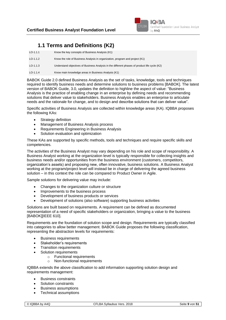

# **1.1 Terms and Definitions (K2)**

| $LO-1.1.1$ | Know the key concepts of Business Analysis (K1)                                               |
|------------|-----------------------------------------------------------------------------------------------|
| $LO-1.1.2$ | Know the role of Business Analysis in organization, program and project (K1)                  |
| $LO-1.1.3$ | Understand objectives of Business Analysis in the different phases of product life cycle (K2) |
| $LO-1.1.4$ | Know main knowledge areas in Business Analysis (K1)                                           |

BABOK Guide 2.0 defined Business Analysis as the set of tasks, knowledge, tools and techniques required to identify business needs and determine solutions to business problems [BABOK]. The latest version of BABOK Guide, 3.0, updates the definition to highline the aspect of value: "Business Analysis is the practice of enabling change in an enterprise by defining needs and recommending solutions that deliver value to stakeholders. Business Analysis enables an enterprise to articulate needs and the rationale for change, and to design and describe solutions that can deliver value".

Specific activities of Business Analysis are collected within knowledge areas (KA). IQBBA proposes the following KAs:

- Strategy definition
- Management of Business Analysis process
- Requirements Engineering in Business Analysis
- Solution evaluation and optimization

These KAs are supported by specific methods, tools and techniques and require specific skills and competencies.

The activities of the Business Analyst may vary depending on his role and scope of responsibility. A Business Analyst working at the organization level is typically responsible for collecting insights and business needs and/or opportunities from the business environment (customers, competitors, organization's assets) and proposing new, often innovative, business solutions. A Business Analyst working at the program/project level will instead be in charge of delivering the agreed business solution – in this context the role can be compared to Product Owner in Agile.

Sample solutions for delivering value may include:

- Changes to the organization culture or structure
- Improvements to the business process
- Development of business products or services
- Development of solutions (also software) supporting business activities

Solutions are built based on requirements. A requirement can be defined as documented representation of a need of specific stakeholders or organization, bringing a value to the business [BABOK][IEEE 610].

Requirements are the foundation of solution scope and design. Requirements are typically classified into categories to allow better management. BABOK Guide proposes the following classification, representing the abstraction levels for requirements:

- Business requirements
- Stakeholder's requirements
- Transition requirements
- Solution requirements
	- o Functional requirements
	- o Non-functional requirements

IQBBA extends the above classification to add information supporting solution design and requirements management:

- Business constraints
- Solution constraints
- Business assumptions
- Technical assumptions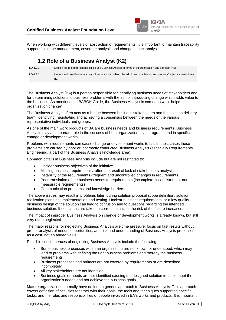

When working with different levels of abstraction of requirements, it is important to maintain traceability supporting scope management, coverage analysis and change impact analysis.

# **1.2 Role of a Business Analyst (K2)**

LO-1.2.1 Explain the role and responsibilities of a Business Analyst in terms of an organization and a project (K2) LO-1.2.2 Understand how Business Analyst interfaces with other roles within an organization and program/project's stakeholders (K2)

The Business Analyst (BA) is a person responsible for identifying business needs of stakeholders and for determining solutions to business problems with the aim of introducing change which adds value to the business. As mentioned in BABOK Guide, the Business Analyst is someone who "helps organization change".

The Business Analyst often acts as a bridge between business stakeholders and the solution delivery team, identifying, negotiating and achieving a consensus between the needs of the various representative individuals and groups.

As one of the main work products of BA are business needs and business requirements, Business Analysts play an important role in the success of both organization-level programs and in specific change or development works.

Problems with requirements can cause change or development works to fail. In most cases these problems are caused by poor or incorrectly conducted Business Analysis (especially Requirements Engineering, a part of the Business Analysis knowledge area).

Common pitfalls in Business Analysis include but are not restricted to:

- Unclear business objectives of the initiative
- Missing business requirements, often the result of lack of stakeholders analysis
- Instability of the requirements (frequent and uncontrolled changes in requirements)
- Poor translation of the business needs to requirements (incomplete, inconsistent, or not measurable requirements)
- Communication problems and knowledge barriers

The above issues may result in problems later, during solution proposal scope definition, solution realization planning, implementation and testing. Unclear business requirements, or a low quality business design of the solution can lead to confusion and to questions regarding the intended business solution. If no actions are taken to correct this state, the risk of the failure increases.

The impact of improper Business Analysis on change or development works is already known, but still very often neglected.

The major reasons for neglecting Business Analysis are time pressure, focus on fast results without proper analysis of needs, opportunities, and risk and understanding of Business Analysis processes as a cost, not an added value.

Possible consequences of neglecting Business Analysis include the following:

- Some business processes within an organization are not known or understood, which may lead to problems with defining the right business problems and thereby the business requirements
- Business processes and artifacts are not covered by requirements or are described incompletely.
- All key stakeholders are not identified.
- Business goals or needs are not identified causing the designed solution to fail to meet the organization's needs and not achieve the business goals.

Mature organizations normally have defined a generic approach to Business Analysis. This approach covers definition of activities together with their goals, the tools and techniques supporting specific tasks, and the roles and responsibilities of people involved in BA's works and products. It is important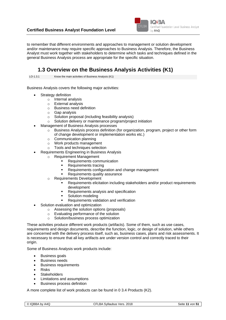

to remember that different environments and approaches to management or solution development and/or maintenance may require specific approaches to Business Analysis. Therefore, the Business Analyst must work together with stakeholders to determine which tasks and techniques defined in the general Business Analysis process are appropriate for the specific situation.

### **1.3 Overview on the Business Analysis Activities (K1)**

LO-1.3.1 Know the main activities of Business Analysis (K1)

Business Analysis covers the following major activities:

- Strategy definition
	- o Internal analysis
	- o External analysis
	- o Business need definition
	- o Gap analysis
	- o Solution proposal (including feasibility analysis)
	- o Solution delivery or maintenance program/project initiation
- Management of Business Analysis processes
	- $\circ$  Business Analysis process definition (for organization, program, project or other form of change development or implementation works etc.)
	- o Communication planning
	- o Work products management
	- o Tools and techniques selection
	- Requirements Engineering in Business Analysis
	- o Requirement Management
		- Requirements communication
		- Requirements tracing
		- Requirements configuration and change management
		- Requirements quality assurance
		- o Requirements Development
			- Requirements elicitation including stakeholders and/or product requirements development
			- Requirements analysis and specification
				- Solution modeling
			- Requirements validation and verification
	- Solution evaluation and optimization
		- o Assessing the solution options (proposals)
		- o Evaluating performance of the solution
		- o Solution/business process optimization

These activities produce different work products (artifacts). Some of them, such as use cases, requirements and design documents, describe the function, logic, or design of solution, while others are concerned with the delivery process itself, such as, business cases, plans and risk assessments. It is necessary to ensure that all key artifacts are under version control and correctly traced to their origin.

Some of Business Analysis work products include:

- Business goals
- Business needs
- Business requirements
- Risks
- **Stakeholders**
- Limitations and assumptions
- Business process definition

A more complete list of work products can be found in [0](#page-25-0) [3.4 Products \(K2\).](#page-25-0)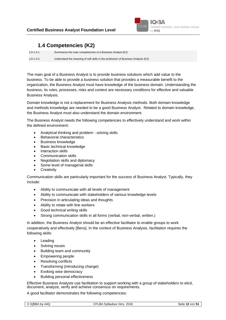

# **1.4 Competencies (K2)**

LO-1.4.1 Summarize the main competencies of a Business Analyst (K2) LO-1.4.2 Understand the meaning of soft skills in the profession of Business Analysis (K2)

The main goal of a Business Analyst is to provide business solutions which add value to the business. To be able to provide a business solution that provides a measurable benefit to the organization, the Business Analyst must have knowledge of the business domain. Understanding the business, its rules, processes, risks and context are necessary conditions for effective and valuable Business Analysis.

Domain knowledge is not a replacement for Business Analysis methods. Both domain knowledge and methods knowledge are needed to be a good Business Analyst. Related to domain knowledge, the Business Analyst must also understand the domain environment.

The Business Analyst needs the following competencies to effectively understand and work within the defined environment:

- Analytical thinking and problem solving skills
- Behavioral characteristics
- Business knowledge
- Basic technical knowledge
- Interaction skills
- Communication skills
- Negotiation skills and diplomacy
- Some level of managerial skills
- **Creativity**

Communication skills are particularly important for the success of Business Analyst. Typically, they include:

- Ability to communicate with all levels of management
- Ability to communicate with stakeholders of various knowledge levels
- Precision in articulating ideas and thoughts
- Ability to relate with line workers
- Good technical writing skills
- Strong communication skills in all forms (verbal, non-verbal, written.)

In addition, the Business Analyst should be an effective facilitator to enable groups to work cooperatively and effectively [Bens]. In the context of Business Analysis, facilitation requires the following skills:

- Leading
- Solving issues
- Building team and community
- Empowering people
- Resolving conflicts
- Transforming (introducing change)
- Evoking wise democracy
- Building personal effectiveness

Effective Business Analysts use facilitation to support working with a group of stakeholders to elicit, document, analyze, verify and achieve consensus on requirements.

A good facilitator demonstrates the following competencies: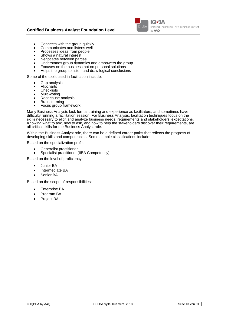#### **Certified Business Analyst Foundation Level**



- Connects with the group quickly
- Communicates and listens well
- Processes ideas from people
- Shows a natural interest
- Negotiates between parties
- Understands group dynamics and empowers the group
- Focuses on the business not on personal solutions
- Helps the group to listen and draw logical conclusions

Some of the tools used in facilitation include:

- Gap analysis
- **Flipcharts**
- **Checklists**
- Multi-voting
- Root cause analysis
- Brainstorming
- Focus group framework

Many Business Analysts lack formal training and experience as facilitators, and sometimes have difficulty running a facilitation session. For Business Analysis, facilitation techniques focus on the skills necessary to elicit and analyze business needs, requirements and stakeholders' expectations. Knowing what to ask, how to ask, and how to help the stakeholders discover their requirements, are all critical skills for the Business Analyst role.

Within the Business Analyst role, there can be a defined career paths that reflects the progress of developing skills and competencies. Some sample classifications include:

Based on the specialization profile:

- Generalist practitioner
- Specialist practitioner [IIBA Competency].

Based on the level of proficiency:

- Junior BA
- Intermediate BA
- Senior BA

Based on the scope of responsibilities:

- Enterprise BA
- Program BA
- Project BA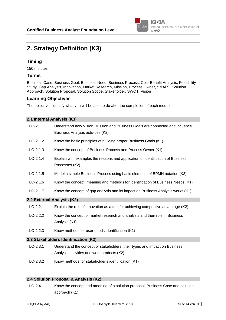

# **2. Strategy Definition (K3)**

#### **Timing**

150 minutes

#### **Terms**

Business Case, Business Goal, Business Need, Business Process, Cost-Benefit Analysis, Feasibility Study, Gap Analysis, Innovation, Market Research, Mission, Process Owner, SMART, Solution Approach, Solution Proposal, Solution Scope, Stakeholder, SWOT, Vision

#### **Learning Objectives**

The objectives identify what you will be able to do after the completion of each module.

| 2.1 Internal Analysis (K3) |                                                                                                                    |  |
|----------------------------|--------------------------------------------------------------------------------------------------------------------|--|
| $LO-2.1.1$                 | Understand how Vision, Mission and Business Goals are connected and influence<br>Business Analysis activities (K2) |  |
| $LO-2.1.2$                 | Know the basic principles of building proper Business Goals (K1)                                                   |  |
| $LO-2.1.3$                 | Know the concept of Business Process and Process Owner (K1)                                                        |  |
| $LO-2.1.4$                 | Explain with examples the reasons and application of identification of Business<br>Processes (K2)                  |  |
| $LO-2.1.5$                 | Model a simple Business Process using basic elements of BPMN notation (K3)                                         |  |
| $LO-2.1.6$                 | Know the concept, meaning and methods for identification of Business Needs (K1)                                    |  |
| $LO-2.1.7$                 | Know the concept of gap analysis and its impact on Business Analysis works (K1)                                    |  |
| 2.2 External Analysis (K2) |                                                                                                                    |  |
| $LO-2.2.1$                 | Explain the role of innovation as a tool for achieving competitive advantage (K2)                                  |  |
| $LO-2.2.2$                 | Know the concept of market research and analysis and their role in Business<br>Analysis (K1)                       |  |
| $LO-2.2.3$                 | Know methods for user needs identification (K1)                                                                    |  |
|                            | 2.3 Stakeholders Identification (K2)                                                                               |  |

- LO-2.3.1 Understand the concept of stakeholders, their types and impact on Business Analysis activities and work products (K2)
- LO-2.3.2 Know methods for stakeholder's identification (K1)

#### **2.4 Solution Proposal & Analysis (K2)**

LO-2.4.1 Know the concept and meaning of a solution proposal, Business Case and solution approach (K1)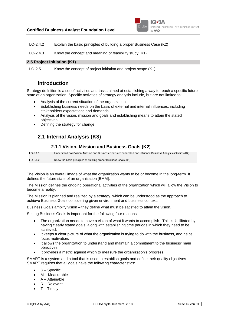

LO-2.4.2 Explain the basic principles of building a proper Business Case (K2)

LO-2.4.3 Know the concept and meaning of feasibility study (K1)

#### **2.5 Project Initiation (K1)**

LO-2.5.1 Know the concept of project initiation and project scope (K1)

### **Introduction**

Strategy definition is a set of activities and tasks aimed at establishing a way to reach a specific future state of an organization. Specific activities of strategy analysis include, but are not limited to:

- Analysis of the current situation of the organization
- Establishing business needs on the basis of external and internal influences, including stakeholders expectations and demands
- Analysis of the vision, mission and goals and establishing means to attain the stated objectives
- Defining the strategy for change

## **2.1 Internal Analysis (K3)**

#### **2.1.1 Vision, Mission and Business Goals (K2)**

<span id="page-14-0"></span>LO-2.1.1 Understand how Vision, Mission and Business Goals are connected and influence Business Analysis activities (K2) LO-2.1.2 Know the basic principles of building proper Business Goals (K1)

The Vision is an overall image of what the organization wants to be or become in the long-term. It defines the future state of an organization [BMM].

The Mission defines the ongoing operational activities of the organization which will allow the Vision to become a reality.

The Mission is planned and realized by a strategy, which can be understood as the approach to achieve Business Goals considering given environment and business context.

Business Goals amplify vision – they define what must be satisfied to attain the vision.

Setting Business Goals is important for the following four reasons:

- The organization needs to have a vision of what it wants to accomplish. This is facilitated by having clearly stated goals, along with establishing time periods in which they need to be achieved.
- It keeps a clear picture of what the organization is trying to do with the business, and helps focus motivation.
- It allows the organization to understand and maintain a commitment to the business' main objectives.
- It provides a metric against which to measure the organization's progress.

SMART is a system and a tool that is used to establish goals and define their quality objectives. SMART requires that all goals have the following characteristics:

- S Specific
- M Measurable
- A Attainable
- R Relevant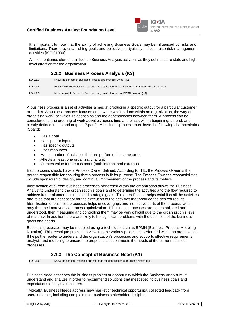

It is important to note that the ability of achieving Business Goals may be influenced by risks and limitations. Therefore, establishing goals and objectives is typically includes also risk management activities [ISO 31000].

All the mentioned elements influence Business Analysis activities as they define future state and high level direction for the organization.

#### **2.1.2 Business Process Analysis (K3)**

| $LO-2.1.3$ | Know the concept of Business Process and Process Owner (K1)                                    |
|------------|------------------------------------------------------------------------------------------------|
| $LO-2.1.4$ | Explain with examples the reasons and application of identification of Business Processes (K2) |
| $LO-2.1.5$ | Model a simple Business Process using basic elements of BPMN notation (K3)                     |

A business process is a set of activities aimed at producing a specific output for a particular customer or market. A business process focuses on how the work is done within an organization, the way of organizing work, activities, relationships and the dependencies between them. A process can be considered as the ordering of work activities across time and place, with a beginning, an end, and clearly defined inputs and outputs [Sparx]. A business process must have the following characteristics [Sparx]:

- Has a goal
- Has specific inputs
- Has specific outputs
- Uses resources
- Has a number of activities that are performed in some order
- Affects at least one organizational unit
- Creates value for the customer (both internal and external)

Each process should have a Process Owner defined. According to ITIL, the Process Owner is the person responsible for ensuring that a process is fit for purpose. The Process Owner's responsibilities include sponsorship, design, and continual improvement of the process and its metrics.

Identification of current business processes performed within the organization allows the Business Analyst to understand the organization's goals and to determine the activities and the flow required to achieve future planned business and strategic goals. This identification helps establish all the activities and roles that are necessary for the execution of the activities that produce the desired results. Identification of business processes helps uncover gaps and ineffective parts of the process, which may then be improved via process optimization. If business processes are not established and understood, then measuring and controlling them may be very difficult due to the organization's level of maturity. In addition, there are likely to be significant problems with the definition of the business goals and needs.

Business processes may be modeled using a technique such as BPMN (Business Process Modeling Notation). This technique provides a view into the various processes performed within an organization. It helps the reader to understand the organization's processes and supports effective requirements analysis and modeling to ensure the proposed solution meets the needs of the current business processes.

#### **2.1.3 The Concept of Business Need (K1)**

LO-2.1.6 Know the concept, meaning and methods for identification of Business Needs (K1)

Business Need describes the business problem or opportunity which the Business Analyst must understand and analyze in order to recommend solutions that meet specific business goals and expectations of key stakeholders.

Typically, Business Needs address new market or technical opportunity, collected feedback from user/customer, including complaints, or business stakeholders insights.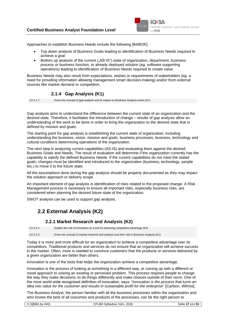

Approaches to establish Business Needs include the following [BABOK]:

- Top down analysis of Business Goals leading to identification of Business Needs required to achieve a goal
- Bottom up analysis of the current ("AS-IS") state of organization, department, business process or business function, or already deployed solution (eg. software supporting operations) leading to identification of Business Needs required to create value

Business Needs may also result from expectations, wishes or requirements of stakeholders (eg. a need for providing information allowing management smart decision-making) and/or from external sources like market demand or competition.

#### **2.1.4 Gap Analysis (K1)**

LO-2.1.7 Know the concept of gap analysis and its impact on Business Analysis works (K1)

Gap analysis aims to understand the difference between the current state of an organization and the desired state. Therefore, it facilitates the introduction of change – results of gap analysis allow an understanding of the work to be done in order to bring the organization to the desired state that is defined by mission and goals.

The starting point for gap analysis is establishing the current state of organization, including understanding the business, vision, mission and goals, business processes, business, technology and cultural conditions determining operations of the organization.

The next step is analyzing current capabilities (AS-IS) and evaluating them against the desired Business Goals and Needs. The result of evaluation will determine if the organization currently has the capability to satisfy the defined Business Needs. If the current capabilities do not meet the stated goals, changes must be identified and introduced to the organization (business, technology, people etc.) to move it to the future state.

All the assumptions done during the gap analysis should be properly documented as they may impact the solution approach or delivery scope.

An important element of gap analysis is identification of risks related to the proposed change. A Risk Management process is necessary to ensure all important risks, especially business risks, are considered when planning the desired future state of the organization.

SWOT analysis can be used to support gap analysis.

# **2.2 External Analysis (K2)**

#### **2.2.1 Market Research and Analysis (K2)**

LO-2.2.1 Explain the role of innovation as a tool for achieving competitive advantage (K2)

LO-2.2.2 Know the concept of market research and analysis and their role in Business Analysis (K1)

Today it is more and more difficult for an organization to achieve a competitive advantage over its competitors. Traditional products and services do not ensure that an organization will achieve success in the market. Often, more is needed to convince customers that the products or services delivered by a given organization are better than others.

Innovation is one of the tools that helps the organization achieve a competitive advantage.

Innovation is the process of looking at something in a different way, or coming up with a different or novel approach to solving an existing or perceived problem. This process requires people to change the way they make decisions; to do things differently and make choices outside of their norm. One of the most world-wide recognized definition of innovation, says: "*innovation is the process that turns an idea into value for the customer and results in sustainable profit for the enterprise*" [Carlson, Wilmot].

The Business Analyst, the person familiar with all the business processes within the organization and who knows the best of all outcomes and products of the processes, can be the right person to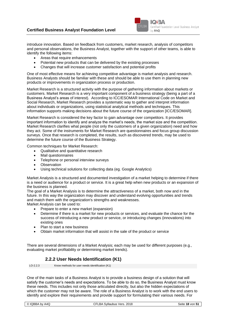

introduce innovation. Based on feedback from customers, market research, analysis of competitors and personal observations, the Business Analyst, together with the support of other teams, is able to identify the following items:

- Areas that require enhancements
- Potential new products that can be delivered by the existing processes
- Changes that will increase customer satisfaction and potential profits

One of most effective means for achieving competitive advantage is market analysis and research. Business Analysts should be familiar with these and should be able to use them in planning new products or improvements in organization process or production.

Market Research is a structured activity with the purpose of gathering information about markets or customers. Market Research is a very important component of a business strategy (being a part of a Business Analyst's areas of interest). According to ICC/ESOMAR International Code on Market and Social Research, Market Research provides a systematic way to gather and interpret information about individuals or organizations, using statistical analytical methods and techniques. This information supports making decisions about the future course of the organization [ICC/ESOMAR].

Market Research is considered the key factor to gain advantage over competitors. It provides important information to identify and analyze the market's needs, the market size and the competition. Market Research clarifies what people (not only the customers of a given organization) need and how they act. Some of the instruments for Market Research are questionnaires and focus group discussion surveys. Once that research is completed, the results, such as discovered trends, may be used to determine the future course of the Business Strategy.

Common techniques for Market Research:

- Qualitative and quantitative research
- Mail questionnaires
- Telephone or personal interview surveys
- Observation
- Using technical solutions for collecting data (eg. Google Analytics)

Market Analysis is a structured and documented investigation of a market helping to determine if there is a need or audience for a product or service. It is a great help when new products or an expansion of the business is planned.

The goal of a Market Analysis is to determine the attractiveness of a market, both now and in the future. In this way the organization may discover and understand evolving opportunities and trends and match them with the organization's strengths and weaknesses.

Market Analysis can be used to:

- Prepare to enter a new market (expansion)
- Determine if there is a market for new products or services, and evaluate the chance for the success of introducing a new product or service, or introducing changes (innovations) into existing ones
- Plan to start a new business
- Obtain market information that will assist in the sale of the product or service

There are several dimensions of a Market Analysis; each may be used for different purposes (e.g., evaluating market profitability or determining market trends).

#### **2.2.2 User Needs Identification (K1)**

LO-2.2.3 Know methods for user needs identification (K1)

One of the main tasks of a Business Analyst is to provide a business design of a solution that will satisfy the customer's needs and expectations. To be able to do so, the Business Analyst must know these needs. This includes not only those articulated directly, but also the hidden expectations of which the customer may not be aware. The role of a Business Analyst is to work with the end users to identify and explore their requirements and provide support for formulating their various needs. For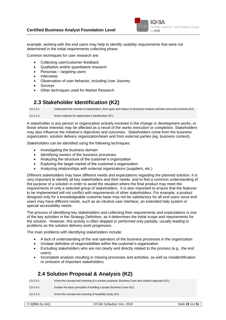

example, working with the end users may help to identify usability requirements that were not determined in the initial requirements collecting phase.

Common techniques for user research are:

- Collecting user/customer feedback
- Qualitative and/or quantitative research
- Personas targeting users
- Interviews
- Observation of user behavior, including User Journey
- **Surveys**
- Other techniques used for Market Research

### **2.3 Stakeholder Identification (K2)**

LO-2.3.1 Understand the concept of stakeholders, their types and impact on Business Analysis activities and work products (K2)

LO-2.3.2 Know methods for stakeholder's identification (K1)

A stakeholder is any person or organization actively involved in the change or development works, or those whose interests may be affected as a result of the works execution or completion. Stakeholders may also influence the initiative's objectives and outcomes. Stakeholders come from the business organization, solution delivery organization/team and from external parties (eg. business context).

Stakeholders can be identified using the following techniques:

- Investigating the business domain
- Identifying owners of the business processes
- Analyzing the structure of the customer's organization
- Exploring the target market of the customer's organization
- Analyzing relationships with external organizations (suppliers, etc.)

Different stakeholders may have different needs and expectations regarding the planned solution. It is very important to identify all key stakeholders and their needs, and to find a common understanding of the purpose of a solution in order to avoid the situation where the final product may meet the requirements of only a selected group of stakeholders. It is also important to ensure that the features to be implemented will not conflict with requirements of other stakeholders. For example, a product designed only for a knowledgeable customer base may not be satisfactory for all end users since end users may have different needs, such as an intuitive user interface, an extended help system or special accessibility needs.

The process of identifying key stakeholders and collecting their requirements and expectations is one of the key activities in the Strategy Definition, as it determines the initial scope and requirements for the solution. However, this activity is often skipped or performed only partially, usually leading to problems as the solution delivery work progresses.

The main problems with identifying stakeholders include:

- A lack of understanding of the real operators of the business processes in the organization
- Unclear definition of responsibilities within the customer's organization
- Excluding stakeholders who are not clearly and directly related to the process (e.g., the end users)
- Incomplete analysis resulting in missing processes and activities, as well as misidentification or omission of important stakeholders

### **2.4 Solution Proposal & Analysis (K2)**

| $LO-2.4.1$ | Know the concept and meaning of a solution proposal, Business Case and solution approach (K1) |
|------------|-----------------------------------------------------------------------------------------------|
| $LO-2.4.2$ | Explain the basic principles of building a proper Business Case (K2)                          |
| $LO-2.4.3$ | Know the concept and meaning of feasibility study (K1)                                        |
|            |                                                                                               |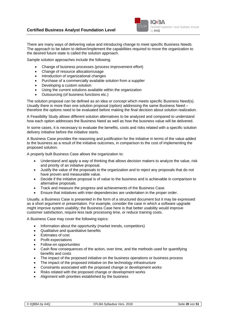

There are many ways of delivering value and introducing change to meet specific Business Needs. The approach to be taken to deliver/implement the capabilities required to move the organization to the desired future state is called the solution approach.

Sample solution approaches include the following:

- Change of business processes (process improvement effort)
- Change of resource allocation/usage
- Introduction of organizational changes
- Purchase of a commercially available solution from a supplier
- Developing a custom solution
- Using the current solutions available within the organization
- Outsourcing (of business functions etc.)

The solution proposal can be defined as an idea or concept which meets specific Business Need(s). Usually there is more than one solution proposal (option) addressing the same Business Need – therefore the options need to be evaluated before making the final decision about solution realization.

A Feasibility Study allows different solution alternatives to be analyzed and compared to understand how each option addresses the Business Need as well as how the business value will be delivered.

In some cases, it is necessary to evaluate the benefits, costs and risks related with a specific solution delivery initiative before the initiative starts.

A Business Case provides the reasoning and justification for the initiative in terms of the value added to the business as a result of the initiative outcomes, in comparison to the cost of implementing the proposed solution.

A properly built Business Case allows the organization to:

- Understand and apply a way of thinking that allows decision makers to analyze the value, risk and priority of an initiative proposal.
- Justify the value of the proposals to the organization and to reject any proposals that do not have proven and measurable value.
- Decide if the initiative proposal is of value to the business and is achievable in comparison to alternative proposals.
- Track and measure the progress and achievements of the Business Case.
- Ensure that initiatives with inter-dependencies are undertaken in the proper order.

Usually, a Business Case is presented in the form of a structured document but it may be expressed as a short argument or presentation. For example, consider the case in which a software upgrade might improve system usability; the Business Case here is that better usability would improve customer satisfaction, require less task processing time, or reduce training costs.

A Business Case may cover the following topics:

- Information about the opportunity (market trends, competitors)
- Qualitative and quantitative benefits
- Estimates of cost
- Profit expectations
- Follow-on opportunities
- Cash flow consequences of the action, over time, and the methods used for quantifying benefits and costs
- The impact of the proposed initiative on the business operations or business process
- The impact of the proposed initiative on the technology infrastructure
- Constraints associated with the proposed change or development works
- Risks related with the proposed change or development works
- Alignment with priorities established by the business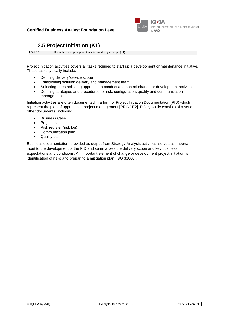

# **2.5 Project Initiation (K1)**

LO-2.5.1 Know the concept of project initiation and project scope (K1)

Project initiation activities covers all tasks required to start up a development or maintenance initiative. These tasks typically include:

- Defining delivery/service scope
- Establishing solution delivery and management team
- Selecting or establishing approach to conduct and control change or development activities
- Defining strategies and procedures for risk, configuration, quality and communication management

Initiation activities are often documented in a form of Project Initiation Documentation (PID) which represent the plan of approach in project management [PRINCE2]. PID typically consists of a set of other documents, including:

- Business Case
- Project plan
- Risk register (risk log)
- Communication plan
- Quality plan

Business documentation, provided as output from Strategy Analysis activities, serves as important input to the development of the PID and summarizes the delivery scope and key business expectations and conditions. An important element of change or development project initiation is identification of risks and preparing a mitigation plan [ISO 31000].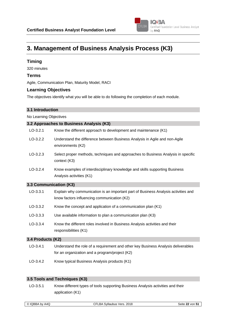

# **3. Management of Business Analysis Process (K3)**

#### **Timing**

320 minutes

#### **Terms**

Agile, Communication Plan, Maturity Model, RACI

#### **Learning Objectives**

The objectives identify what you will be able to do following the completion of each module.

#### **3.1 Introduction**

No Learning Objectives

#### **3.2 Approaches to Business Analysis (K3)**

| $LO-3.2.1$ | Know the different approach to development and maintenance (K1) |
|------------|-----------------------------------------------------------------|
|            |                                                                 |

- LO-3.2.2 Understand the difference between Business Analysis in Agile and non-Agile environments (K2)
- LO-3.2.3 Select proper methods, techniques and approaches to Business Analysis in specific context (K3)
- LO-3.2.4 Know examples of interdisciplinary knowledge and skills supporting Business Analysis activities (K1)

#### **3.3 Communication (K3)**

| $LO-3.3.1$               | Explain why communication is an important part of Business Analysis activities and<br>know factors influencing communication (K2) |
|--------------------------|-----------------------------------------------------------------------------------------------------------------------------------|
| $LO-3.3.2$               | Know the concept and application of a communication plan (K1)                                                                     |
| $LO-3.3.3$               | Use available information to plan a communication plan (K3)                                                                       |
| $LO-3.3.4$               | Know the different roles involved in Business Analysis activities and their<br>responsibilities (K1)                              |
| <b>3.4 Products (K2)</b> |                                                                                                                                   |
|                          |                                                                                                                                   |

- LO-3.4.1 Understand the role of a requirement and other key Business Analysis deliverables for an organization and a program/project (K2)
- LO-3.4.2 Know typical Business Analysis products (K1)

#### **3.5 Tools and Techniques (K3)**

LO-3.5.1 Know different types of tools supporting Business Analysis activities and their application (K1)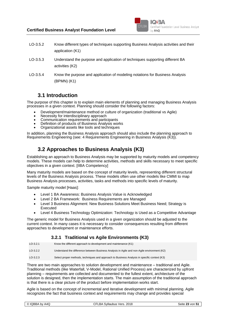

- LO-3.5.2 Know different types of techniques supporting Business Analysis activities and their application (K1)
- LO-3.5.3 Understand the purpose and application of techniques supporting different BA activities (K2)
- LO-3.5.4 Know the purpose and application of modeling notations for Business Analysis (BPMN) (K1)

### **3.1 Introduction**

The purpose of this chapter is to explain main elements of planning and managing Business Analysis processes in a given context. Planning should consider the following factors:

- Development/maintenance method or culture of organization (traditional vs Agile)
- Necessity for interdisciplinary approach
- Communication requirements and participants
- Definition of products of Business Analysis works
- Organizational assets like tools and techniques

In addition, planning the Business Analysis approach should also include the planning approach to Requirements Engineering (see: [4](#page-27-0) [Requirements Engineering in Business Analysis \(K3\)\)](#page-27-0).

# **3.2 Approaches to Business Analysis (K3)**

Establishing an approach to Business Analysis may be supported by maturity models and competency models. These models can help to determine activities, methods and skills necessary to meet specific objectives in a given context. [IIBA Competency]

Many maturity models are based on the concept of maturity levels, representing different structural levels of the Business Analysis process. These models often use other models like CMMI to map Business Analysis processes, activities, tasks and methods into specific levels of maturity.

Sample maturity model [Haas]:

- Level 1 BA Awareness: Business Analysis Value is Acknowledged
- Level 2 BA Framework: Business Requirements are Managed
- Level 3 Business Alignment: New Business Solutions Meet Business Need: Strategy is Executed
- Level 4 Business Technology Optimization: Technology is Used as a Competitive Advantage

The generic model for Business Analysis used in a given organization should be adjusted to the current context. In many cases it is necessary to consider consequences resulting from different approaches to development or maintenance efforts.

#### **3.2.1 Traditional vs Agile Environments (K3)**

| $LO-3.2.1$ | Know the different approach to development and maintenance (K1)                              |
|------------|----------------------------------------------------------------------------------------------|
| $LO-3.2.2$ | Understand the difference between Business Analysis in Agile and non-Agile environment (K2)  |
| $LO-3.2.3$ | Select proper methods, techniques and approach to Business Analysis in specific context (K3) |

There are two main approaches to solution development and maintenance – traditional and Agile. Traditional methods (like Waterfall, V-Model, Rational Unified Process) are characterized by upfront planning – requirements are collected and documented to the fullest extent, architecture of the solution is designed, then the implementation starts. The main assumption of the traditional approach is that there is a clear picture of the product before implementation works start.

Agile is based on the concept of incremental and iterative development with minimal planning. Agile recognizes the fact that business context and requirements may change and provides special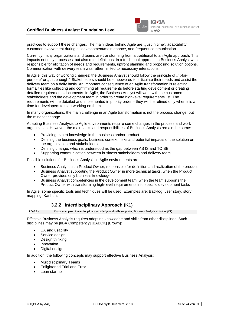

practices to support these changes. The main ideas behind Agile are: "just in time", adaptability, customer involvement during all development/maintenance, and frequent communication.

Currently many organizations and teams are transforming from a traditional to an Agile approach. This impacts not only processes, but also role definitions. In a traditional approach a Business Analyst was responsible for elicitation of needs and requirements, upfront planning and proposing solution options. Communication with delivery team was rather limited to necessary interactions.

In Agile, this way of working changes; the Business Analyst should follow the principle of "fit-forpurpose" or "just enough." Stakeholders should be empowered to articulate their needs and assist the delivery team on a daily basis. An important consequence of an Agile transformation is rejecting formalities like collecting and confirming all requirements before starting development or creating detailed requirements documents. In Agile, the Business Analyst will work with the customers, stakeholders and the development team in order to create high-level requirements list. The requirements will be detailed and implemented in priority order – they will be refined only when it is a time for developers to start working on them.

In many organizations, the main challenge in an Agile transformation is not the process change, but the mindset change.

Adapting Business Analysis to Agile environments require some changes in the process and work organization. However, the main tasks and responsibilities of Business Analysts remain the same:

- Providing expert knowledge in the business and/or product
- Defining the business goals, business context, risks and potential impacts of the solution on the organization and stakeholders
- Defining change, which is understood as the gap between AS IS and TO BE
- Supporting communication between business stakeholders and delivery team

Possible solutions for Business Analysis in Agile environments are:

- Business Analyst as a Product Owner, responsible for definition and realization of the product
- Business Analyst supporting the Product Owner in more technical tasks, when the Product Owner provides only business knowledge
- Business Analyst competencies in the development team, when the team supports the Product Owner with transforming high-level requirements into specific development tasks

In Agile, some specific tools and techniques will be used. Examples are: Backlog, user story, story mapping, Kanban.

#### **3.2.2 Interdisciplinary Approach (K1)**

LO-3.2.4 Know examples of interdisciplinary knowledge and skills supporting Business Analysis activities (K1)

Effective Business Analysis requires adopting knowledge and skills from other disciplines. Such disciplines may be [IIBA Competency] [BABOK] [Brown]:

- UX and usability
- Service design
- Design thinking
- **Innovation**
- Digital design

In addition, the following concepts may support effective Business Analysis:

- Multidisciplinary Teams
- Enlightened Trial and Error
- Lean startup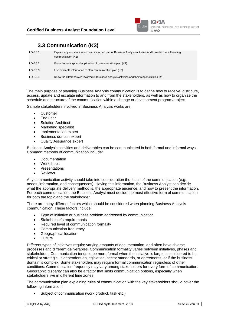

# **3.3 Communication (K3)**

| $LO-3.3.1$ | Explain why communication is an important part of Business Analysis activities and know factors influencing<br>communication (K2) |
|------------|-----------------------------------------------------------------------------------------------------------------------------------|
| $LO-3.3.2$ | Know the concept and application of communication plan (K1)                                                                       |
| $LO-3.3.3$ | Use available information to plan communication plan (K3)                                                                         |
| $LO-3.3.4$ | Know the different roles involved in Business Analysis activities and their responsibilities (K1)                                 |

The main purpose of planning Business Analysis communication is to define how to receive, distribute, access, update and escalate information to and from the stakeholders, as well as how to organize the schedule and structure of the communication within a change or development program/project.

Sample stakeholders involved in Business Analysis works are:

- **Customer**
- End user
- **Solution Architect**
- Marketing specialist
- Implementation expert
- Business domain expert
- Quality Assurance expert

Business Analysis activities and deliverables can be communicated in both formal and informal ways. Common methods of communication include:

- Documentation
- **Workshops**
- **Presentations**
- **Reviews**

Any communication activity should take into consideration the focus of the communication (e.g., needs, information, and consequences). Having this information, the Business Analyst can decide what the appropriate delivery method is, the appropriate audience, and how to present the information. For each communication, the Business Analyst must decide the most effective form of communication for both the topic and the stakeholder.

There are many different factors which should be considered when planning Business Analysis communication. These factors include:

- Type of initiative or business problem addressed by communication
- Stakeholder's requirements
- Required level of communication formality
- Communication frequency
- Geographical location
- **Culture**

Different types of initiatives require varying amounts of documentation, and often have diverse processes and different deliverables. Communication formality varies between initiatives, phases and stakeholders. Communication tends to be more formal when the initiative is large, is considered to be critical or strategic, is dependent on legislation, sector standards, or agreements, or if the business domain is complex. Some stakeholders may require formal communication regardless of other conditions. Communication frequency may vary among stakeholders for every form of communication. Geographic disparity can also be a factor that limits communication options, especially when stakeholders live in different time zones.

The communication plan explaining rules of communication with the key stakeholders should cover the following information:

Subject of communication (work product, task etc.)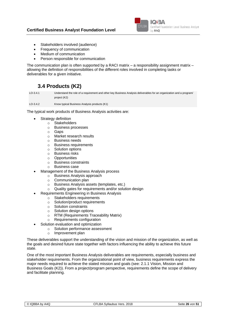

- Stakeholders involved (audience)
- Frequency of communication
- Medium of communication
- Person responsible for communication

<span id="page-25-0"></span>The communication plan is often supported by a RACI matrix  $-$  a responsibility assignment matrix  $$ allowing the definition of responsibilities of the different roles involved in completing tasks or deliverables for a given initiative.

## **3.4 Products (K2)**

LO-3.4.1 Understand the role of a requirement and other key Business Analysis deliverables for an organization and a program/ project (K2)

LO-3.4.2 Know typical Business Analysis products (K1)

The typical work products of Business Analysis activities are:

- Strategy definition
	- o Stakeholders
	- o Business processes
	- o Gaps
	- o Market research results
	- o Business needs
	- o Business requirements
	- o Solution options
	- o Business risks
	- o Opportunities
	- o Business constraints
	- o Business case
	- Management of the Business Analysis process
		- o Business Analysis approach
			- o Communication plan
			- o Business Analysis assets (templates, etc.)
			- o Quality gates for requirements and/or solution design
	- Requirements Engineering in Business Analysis
		- o Stakeholders requirements
			- o Solution/product requirements
			- o Solution constraints
		- o Solution design options
		- o RTM (Requirements Traceability Matrix)
		- o Requirements configuration
	- Solution evaluation and optimization
		- o Solution performance assessment
		- o Improvement plan

These deliverables support the understanding of the vision and mission of the organization, as well as the goals and desired future state together with factors influencing the ability to achieve this future state.

One of the most important Business Analysis deliverables are requirements, especially business and stakeholder requirements. From the organizational point of view, business requirements express the major needs required to achieve the stated mission and goals (see: [2.1.1 Vision, Mission and](#page-14-0)  [Business Goals \(K2\)\)](#page-14-0). From a project/program perspective, requirements define the scope of delivery and facilitate planning.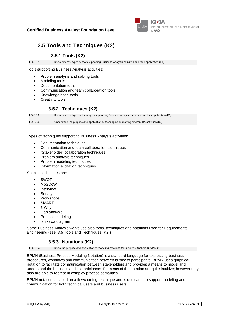

# <span id="page-26-0"></span>**3.5 Tools and Techniques (K2)**

#### **3.5.1 Tools (K2)**

LO-3.5.1 Know different types of tools supporting Business Analysis activities and their application (K1)

Tools supporting Business Analysis activities:

- Problem analysis and solving tools
- Modeling tools
- Documentation tools
- Communication and team collaboration tools
- Knowledge base tools
- Creativity tools

#### **3.5.2 Techniques (K2)**

LO-3.5.2 Know different types of techniques supporting Business Analysis activities and their application (K1) LO-3.5.3 Understand the purpose and application of techniques supporting different BA activities (K2)

Types of techniques supporting Business Analysis activities:

- Documentation techniques
- Communication and team collaboration techniques
- (Stakeholder) collaboration techniques
- Problem analysis techniques
- Problem modeling techniques
- Information elicitation techniques

Specific techniques are:

- **SWOT**
- MoSCoW
- **Interview**
- **Survey**
- **Workshops**
- **SMART**
- 5 Why
- Gap analysis
- Process modeling
- Ishikawa diagram

Some Business Analysis works use also tools, techniques and notations used for Requirements Engineering (see: [3.5](#page-26-0) [Tools and Techniques \(K2\)\)](#page-38-0)

#### **3.5.3 Notations (K2)**

LO-3.5.4 Know the purpose and application of modeling notations for Business Analysis BPMN (K1)

BPMN (Business Process Modeling Notation) is a standard language for expressing business procedures, workflows and communication between business participants. BPMN uses graphical notation to facilitate communication between stakeholders and provides a means to model and understand the business and its participants. Elements of the notation are quite intuitive; however they also are able to represent complex process semantics.

BPMN notation is based on a flowcharting technique and is dedicated to support modeling and communication for both technical users and business users.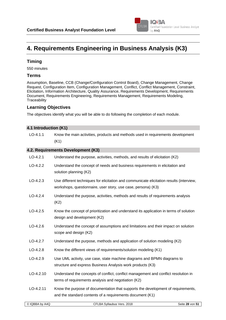

# <span id="page-27-0"></span>**4. Requirements Engineering in Business Analysis (K3)**

#### **Timing**

550 minutes

#### **Terms**

Assumption, Baseline, CCB (Change/Configuration Control Board), Change Management, Change Request, Configuration Item, Configuration Management, Conflict, Conflict Management, Constraint, Elicitation, Information Architecture, Quality Assurance, Requirements Development, Requirements Document, Requirements Engineering, Requirements Management, Requirements Modeling, **Traceability** 

#### **Learning Objectives**

The objectives identify what you will be able to do following the completion of each module.

| 4.1 Introduction (K1) |                                                                                                                                                           |
|-----------------------|-----------------------------------------------------------------------------------------------------------------------------------------------------------|
| $LO-4.1.1$            | Know the main activities, products and methods used in requirements development<br>(K1)                                                                   |
|                       | 4.2. Requirements Development (K3)                                                                                                                        |
| $LO-4.2.1$            | Understand the purpose, activities, methods, and results of elicitation (K2)                                                                              |
| $LO-4.2.2$            | Understand the concept of needs and business requirements in elicitation and<br>solution planning (K2)                                                    |
| $LO-4.2.3$            | Use different techniques for elicitation and communicate elicitation results (interview,<br>workshops, questionnaire, user story, use case, persona) (K3) |
| $LO-4.2.4$            | Understand the purpose, activities, methods and results of requirements analysis<br>(K2)                                                                  |
| $LO-4.2.5$            | Know the concept of prioritization and understand its application in terms of solution<br>design and development (K2)                                     |
| $LO-4.2.6$            | Understand the concept of assumptions and limitations and their impact on solution<br>scope and design (K2)                                               |
| $LO-4.2.7$            | Understand the purpose, methods and application of solution modeling (K2)                                                                                 |
| $LO-4.2.8$            | Know the different views of requirements/solution modeling (K1)                                                                                           |
| $LO-4.2.9$            | Use UML activity, use case, state machine diagrams and BPMN diagrams to<br>structure and express Business Analysis work products (K3)                     |
| $LO-4.2.10$           | Understand the concepts of conflict, conflict management and conflict resolution in<br>terms of requirements analysis and negotiation (K2)                |
| $LO-4.2.11$           | Know the purpose of documentation that supports the development of requirements,<br>and the standard contents of a requirements document (K1)             |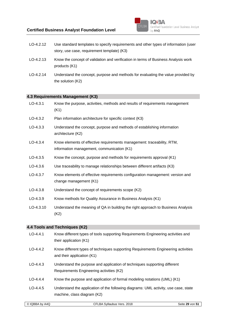

- LO-4.2.12 Use standard templates to specify requirements and other types of information (user story, use case, requirement template) (K3)
- LO-4.2.13 Know the concept of validation and verification in terms of Business Analysis work products (K1)
- LO-4.2.14 Understand the concept, purpose and methods for evaluating the value provided by the solution (K2)

#### **4.3 Requirements Management (K3)**

| $LO-4.3.1$  | Know the purpose, activities, methods and results of requirements management<br>(K1)                                 |
|-------------|----------------------------------------------------------------------------------------------------------------------|
| $LO-4.3.2$  | Plan information architecture for specific context (K3)                                                              |
| $LO-4.3.3$  | Understand the concept, purpose and methods of establishing information<br>architecture (K2)                         |
| $LO-4.3.4$  | Know elements of effective requirements management: traceability, RTM,<br>information management, communication (K1) |
| $LO-4.3.5$  | Know the concept, purpose and methods for requirements approval (K1)                                                 |
| $LO-4.3.6$  | Use traceability to manage relationships between different artifacts (K3)                                            |
| $LO-4.3.7$  | Know elements of effective requirements configuration management: version and<br>change management (K1)              |
| $LO-4.3.8$  | Understand the concept of requirements scope (K2)                                                                    |
| $LO-4.3.9$  | Know methods for Quality Assurance in Business Analysis (K1)                                                         |
| $LO-4.3.10$ | Understand the meaning of QA in building the right approach to Business Analysis<br>(K2)                             |

#### **4.4 Tools and Techniques (K2)**

| $LO-4.4.1$ | Know different types of tools supporting Requirements Engineering activities and<br>their application (K1)            |
|------------|-----------------------------------------------------------------------------------------------------------------------|
| $LO-4.4.2$ | Know different types of techniques supporting Requirements Engineering activities<br>and their application (K1)       |
| $LO-4.4.3$ | Understand the purpose and application of techniques supporting different<br>Requirements Engineering activities (K2) |
| $LO-4.4.4$ | Know the purpose and application of formal modeling notations (UML) (K1)                                              |
| $LO-4.4.5$ | Understand the application of the following diagrams: UML activity, use case, state<br>machine, class diagram (K2)    |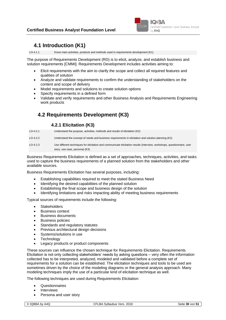

### **4.1 Introduction (K1)**

LO-4.1.1 Know main activities, products and methods used in requirements development (K1)

The purpose of Requirements Development (RD) is to elicit, analyze, and establish business and solution requirements [CMMI]. Requirements Development includes activities aiming to:

- Elicit requirements with the aim to clarify the scope and collect all required features and qualities of solution
- Analyze and validate requirements to confirm the understanding of stakeholders on the content and scope of delivery
- Model requirements and solutions to create solution options
- Specify requirements in a defined form
- Validate and verify requirements and other Business Analysis and Requirements Engineering work products

# **4.2 Requirements Development (K3)**

#### **4.2.1 Elicitation (K3)**

| $LO-4.2.1$ | Understand the purpose, activities, methods and results of elicitation (K2)                                                                               |
|------------|-----------------------------------------------------------------------------------------------------------------------------------------------------------|
| $LO-4.2.2$ | Understand the concept of needs and business requirements in elicitation and solution planning (K2)                                                       |
| $LO-4.2.3$ | Use different techniques for elicitation and communicate elicitation results (interview, workshops, questionnaire, user<br>story, use case, persona) (K3) |

Business Requirements Elicitation is defined as a set of approaches, techniques, activities, and tasks used to capture the business requirements of a planned solution from the stakeholders and other available sources.

Business Requirements Elicitation has several purposes, including:

- Establishing capabilities required to meet the stated Business Need
- Identifying the desired capabilities of the planned solution
- Establishing the final scope and business design of the solution
- Identifying limitations and risks impacting ability of meeting business requirements

Typical sources of requirements include the following:

- **Stakeholders**
- **Business context**
- Business documents
- Business policies
- Standards and regulatory statutes
- Previous architectural design decisions
- Systems/solutions in use
- **Technology**
- Legacy products or product components

These sources can influence the chosen technique for Requirements Elicitation. Requirements Elicitation is not only collecting stakeholders' needs by asking questions – very often the information collected has to be interpreted, analyzed, modeled and validated before a complete set of requirements for a solution can be established. The elicitation techniques and tools to be used are sometimes driven by the choice of the modeling diagrams or the general analysis approach. Many modeling techniques imply the use of a particular kind of elicitation technique as well.

The following techniques are used during Requirements Elicitation:

- **Questionnaires**
- **Interviews**
- Persona and user story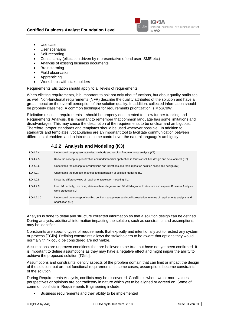

- Use case
- User scenarios
- Self-recording
- Consultancy (elicitation driven by representative of end user, SME etc.)
- Analysis of existing business documents
- **Brainstorming**
- Field observation
- Apprenticing
- Workshops with stakeholders

Requirements Elicitation should apply to all levels of requirements.

When eliciting requirements, it is important to ask not only about functions, but about quality attributes as well. Non-functional requirements (NFR) describe the quality attributes of the solution and have a great impact on the overall perception of the solution quality. In addition, collected information should be properly classified. A common technique for requirements prioritization is MoSCoW.

Elicitation results – requirements – should be properly documented to allow further tracking and Requirements Analysis. It is important to remember that common language has some limitations and disadvantages. This may cause the description of the requirements to be unclear and ambiguous. Therefore, proper standards and templates should be used wherever possible. In addition to standards and templates, vocabularies are an important tool to facilitate communication between different stakeholders and to introduce some control over the natural language's ambiguity.

#### **4.2.2 Analysis and Modeling (K3)**

| $LO-4.2.4$  | Understand the purpose, activities, methods and results of requirements analysis (K2)                                                     |
|-------------|-------------------------------------------------------------------------------------------------------------------------------------------|
| $LO-4.2.5$  | Know the concept of prioritization and understand its application in terms of solution design and development (K2)                        |
| $LO-4.2.6$  | Understand the concept of assumptions and limitations and their impact on solution scope and design (K2)                                  |
| $LO-4.2.7$  | Understand the purpose, methods and application of solution modeling (K2)                                                                 |
| $LO-4.2.8$  | Know the different views of requirements/solution modeling (K1)                                                                           |
| $LO-4.2.9$  | Use UML activity, use case, state machine diagrams and BPMN diagrams to structure and express Business Analysis<br>work products) (K3)    |
| $LO-4.2.10$ | Understand the concept of conflict, conflict management and conflict resolution in terms of requirements analysis and<br>negotiation (K2) |

Analysis is done to detail and structure collected information so that a solution design can be defined. During analysis, additional information impacting the solution, such as constraints and assumptions, may be identified.

Constraints are specific types of requirements that explicitly and intentionally act to restrict any system or process [TGilb]. Defining constraints allows the stakeholders to be aware that options they would normally think could be considered are not viable.

Assumptions are unproven conditions that are believed to be true, but have not yet been confirmed. It is important to define assumptions as they may have a negative effect and might impair the ability to achieve the proposed solution [TGilb].

Assumptions and constraints identify aspects of the problem domain that can limit or impact the design of the solution, but are not functional requirements. In some cases, assumptions become constraints of the solution.

During Requirements Analysis, conflicts may be discovered. Conflict is when two or more values, perspectives or opinions are contradictory in nature which yet to be aligned or agreed on. Some of common conflicts in Requirements Engineering include:

• Business requirements and their ability to be implemented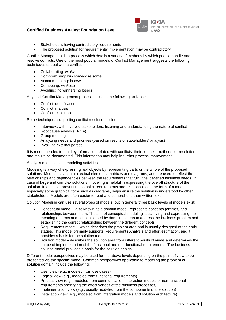#### **Certified Business Analyst Foundation Level**



- Stakeholders having contradictory requirements
- The proposed solution for requirements' implementation may be contradictory

Conflict Management is a process which details a variety of methods by which people handle and resolve conflicts. One of the most popular models of Conflict Management suggests the following techniques to deal with a conflict:

- Collaborating: win/win
- Compromising: win some/lose some
- Accommodating: lose/win
- Competing: win/lose
- Avoiding: no winners/no losers

A typical Conflict Management process includes the following activities:

- **Conflict identification**
- Conflict analysis
- Conflict resolution

Some techniques supporting conflict resolution include:

- Interviews with involved stakeholders, listening and understanding the nature of conflict
- Root cause analysis (RCA)
- Group meeting
- Analyzing needs and priorities (based on results of stakeholders' analysis)
- Involving external parties

It is recommended to that key information related with conflicts, their sources, methods for resolution and results be documented. This information may help in further process improvement.

Analysis often includes modeling activities.

Modeling is a way of expressing real objects by representing parts or the whole of the proposed solutions. Models may contain textual elements, matrices and diagrams, and are used to reflect the relationships and dependencies between the requirements that fulfill the identified business needs. In case of large and complex solutions, modeling is helpful in expressing the overall structure of the solution. In addition, presenting complex requirements and relationships in the form of a model, especially some graphical form such as diagrams, helps ensure the solution is understood by other stakeholders. Models are often easier to read and comprehend than written text.

Solution Modeling can use several types of models, but in general three basic levels of models exist:

- Conceptual model also known as a domain model, represents concepts (entities) and relationships between them. The aim of conceptual modeling is clarifying and expressing the meaning of terms and concepts used by domain experts to address the business problem and establishing the correct relationships between the different concepts.
- Requirements model which describes the problem area and is usually designed at the early stages. This model primarily supports Requirements Analysis and effort estimation, and it provides a basis for the solution model.
- Solution model describes the solution area from different points of views and determines the shape of implementation of the functional and non-functional requirements. The business solution model provides a basis for the solution design.

Different model perspectives may be used for the above levels depending on the point of view to be presented via the specific model. Common perspectives applicable to modeling the problem or solution domain include the following:

- User view (e.g., modeled from use cases)
- Logical view (e.g., modeled from functional requirements)
- Process view (e.g., modeled from communication, interaction models or non-functional requirements specifying the effectiveness of the business processes)
- Implementation view (e.g., usually modeled from the components of the solution)
- Installation view (e.g., modeled from integration models and solution architecture)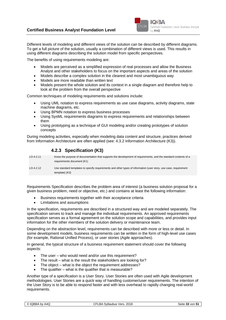

Different levels of modeling and different views of the solution can be described by different diagrams. To get a full picture of the solution, usually a combination of different views is used. This results in using different diagrams describing the solution model from specific perspectives.

The benefits of using requirements modeling are:

- Models are perceived as a simplified expression of real processes and allow the Business Analyst and other stakeholders to focus on the important aspects and areas of the solution
- Models describe a complex solution in the clearest and most unambiguous way
- Models are more readable than written text
- Models present the whole solution and its context in a single diagram and therefore help to look at the problem from the overall perspective

Common techniques of modeling requirements and solutions include:

- Using UML notation to express requirements as use case diagrams, activity diagrams, state machine diagrams, etc.
- Using BPMN notation to express business processes
- Using SysML requirements diagrams to express requirements and relationships between them
- Using prototyping as a technique of GUI modeling and/or creating prototypes of solution concepts

During modeling activities, especially when modeling data content and structure, practices derived from Information Architecture are often applied (see: [4.3.2](#page-34-0) [Information Architecture](#page-34-0) (K3)).

#### **4.2.3 Specification (K3)**

| $LO-4.2.11$ | Know the purpose of documentation that supports the development of requirements, and the standard contents of a                    |
|-------------|------------------------------------------------------------------------------------------------------------------------------------|
|             | requirements document (K1)                                                                                                         |
| $LO-4.2.12$ | Use standard templates to specify requirements and other types of information (user story, use case, requirement<br>template) (K3) |

Requirements Specification describes the problem area of interest (a business solution proposal for a given business problem, need or objective, etc.) and contains at least the following information:

- Business requirements together with their acceptance criteria
- Limitations and assumptions

In the specification, requirements are described in a structured way and are modeled separately. The specification serves to track and manage the individual requirements. An approved requirements specification serves as a formal agreement on the solution scope and capabilities, and provides input information for the other members of the solution delivery or maintenance team.

Depending on the abstraction level, requirements can be described with more or less or detail. In some development models, business requirements can be written in the form of high-level use cases (for example, Rational Unified Process), or user stories (Agile approaches).

In general, the typical structure of a business requirement statement should cover the following aspects:

- The user who would need and/or use this requirement?
- The result what is the result the stakeholders are looking for?
- The object what is the object the requirement addresses?
- The qualifier what is the qualifier that is measurable?

Another type of a specification is a User Story. User Stories are often used with Agile development methodologies. User Stories are a quick way of handling customer/user requirements. The intention of the User Story is to be able to respond faster and with less overhead to rapidly changing real-world requirements.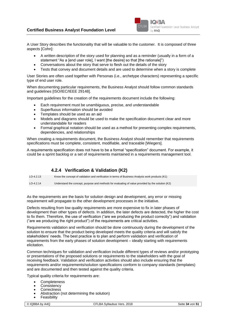

A User Story describes the functionality that will be valuable to the customer. It is composed of three aspects [Cohn]:

- A written description of the story used for planning and as a reminder (usually in a form of a statement "As a [end user role], I want [the desire] so that [the rationale]")
- Conversations about the story that serve to flesh out the details of the story
- Tests that convey and document details and are used to determine when a story is complete

User Stories are often used together with Personas (i.e., archetype characters) representing a specific type of end user role.

When documenting particular requirements, the Business Analyst should follow common standards and guidelines [ISO/IEC/IEEE 29148].

Important guidelines for the creation of the requirements document include the following:

- Each requirement must be unambiguous, precise, and understandable
- Superfluous information should be avoided
- Templates should be used as an aid
- Models and diagrams should be used to make the specification document clear and more understandable for readers
- Formal graphical notation should be used as a method for presenting complex requirements, dependencies, and relationships

When creating a requirements document, the Business Analyst should remember that requirements specifications must be complete, consistent, modifiable, and traceable [Wiegers].

A requirements specification does not have to be a formal "specification" document. For example, it could be a sprint backlog or a set of requirements maintained in a requirements management tool.

#### **4.2.4 Verification & Validation (K2)**

| $LO-4.2.13$ | Know the concept of validation and verification in terms of Business Analysis work products (K1)  |
|-------------|---------------------------------------------------------------------------------------------------|
| $LO-4.2.14$ | Understand the concept, purpose and methods for evaluating of value provided by the solution (K2) |

As the requirements are the basis for solution design and development, any error or missing requirement will propagate to the other development processes in the initiative.

Defects resulting from low quality requirements are more expensive to fix in later phases of development than other types of defects. In addition, the later defects are detected, the higher the cost to fix them. Therefore, the use of verification ("are we producing the product correctly") and validation ("are we producing the right product") of the requirements are critical activities.

Requirements validation and verification should be done continuously during the development of the solution to ensure that the product being developed meets the quality criteria and will satisfy the stakeholders' needs. The best practice is to plan and perform validation and verification of requirements from the early phases of solution development – ideally starting with requirements elicitation.

Common techniques for validation and verification include different types of reviews and/or prototyping or presentations of the proposed solutions or requirements to the stakeholders with the goal of receiving feedback. Validation and verification activities should also include ensuring that the requirements and/or requirements/solution specifications conform to company standards (templates) and are documented and then tested against the quality criteria.

Typical quality criteria for requirements are:

- **Completeness**
- **Consistency**
- Correctness
- Abstraction (not determining the solution)
- **Feasibility**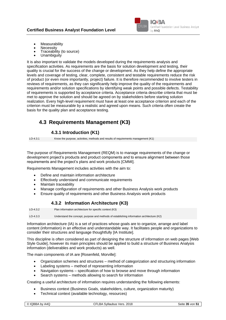

- Measurability
- **Necessity**
- Traceability (to source)
- **Unambiguity**

It is also important to validate the models developed during the requirements analysis and specification activities. As requirements are the basis for solution development and testing, their quality is crucial for the success of the change or development. As they help define the appropriate levels and coverage of testing, clear, complete, consistent and testable requirements reduce the risk of product (or even more importantly, project) failure. It is therefore recommended to involve testers in reviews of requirements, as they can significantly help improve the quality of the requirements and requirements and/or solution specifications by identifying weak points and possible defects. Testability of requirements is supported by acceptance criteria. Acceptance criteria describe criteria that must be met to approve the solution and should be agreed on by stakeholders before starting solution realization. Every high-level requirement must have at least one acceptance criterion and each of the criterion must be measurable by a realistic and agreed upon means. Such criteria often create the basis for the quality plan and acceptance testing.

## **4.3 Requirements Management (K3)**

#### **4.3.1 Introduction (K1)**

LO-4.3.1 Know the purpose, activities, methods and results of requirements management (K1)

The purpose of Requirements Management (REQM) is to manage requirements of the change or development project's products and product components and to ensure alignment between those requirements and the project's plans and work products [CMMI].

Requirements Management includes activities with the aim to:

- Define and maintain information architecture
- Effectively understand and communicate requirements
- Maintain traceability
- Manage configuration of requirements and other Business Analysis work products
- <span id="page-34-0"></span>• Ensure quality of requirements and other Business Analysis work products

#### **4.3.2 Information Architecture (K3)**

LO-4.3.2 Plan information architecture for specific context (K3) LO-4.3.3 Understand the concept, purpose and methods of establishing information architecture (K2)

Information architecture (IA) is a set of practices whose goals are to organize, arrange and label content (information) in an effective and understandable way. It facilitates people and organizations to consider their structures and language thoughtfully [IA Institute].

This discipline is often considered as part of designing the structure of information on web pages [Web Style Guide], however its main principles should be applied to build a structure of Business Analysis information (deliverables and work products) as well.

The main components of IA are [Rosenfeld, Morville]:

- Organization schemes and structures method of categorization and structuring information
- Labeling systems method of representing information
- Navigation systems specification of how to browse and move through information
- Search systems methods allowing to search for information

Creating a useful architecture of information requires understanding the following elements:

- Business context (Business Goals, stakeholders, culture, organization maturity)
- Technical context (available technology, resources)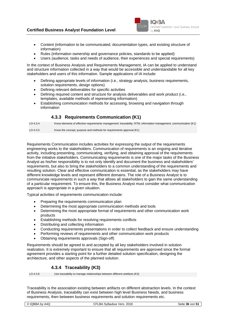#### **Certified Business Analyst Foundation Level**



- Content (information to be communicated, documentation types, and existing structure of information)
- Rules (information ownership and governance policies, standards to be applied)
- Users (audience, tasks and needs of audience, their experiences and special requirements)

In the context of Business Analysis and Requirements Management, IA can be applied to understand and structure information collected in a way that would be accessible and understandable for all key stakeholders and users of this information. Sample applications of IA include:

- Defining appropriate levels of information (i.e., strategy analysis, business requirements, solution requirements, design options)
- Defining relevant deliverables for specific activities
- Defining required content and structure for analysis deliverables and work product (i.e., templates, available methods of representing information)
- Establishing communication methods for accessing, browsing and navigation through information

#### **4.3.3 Requirements Communication (K1)**

LO-4.3.4 Know elements of effective requirements management: traceability, RTM, information management, communication (K1) LO-4.3.5 Know the concept, purpose and methods for requirements approval (K1)

Requirements Communication includes activities for expressing the output of the requirements engineering works to the stakeholders. Communication of requirements is an ongoing and iterative activity, including presenting, communicating, verifying, and obtaining approval of the requirements from the initiative stakeholders. Communicating requirements is one of the major tasks of the Business Analyst as his/her responsibility is to not only identify and document the business and stakeholders' requirements, but also to bring the stakeholders to a common understanding of the requirements and resulting solution. Clear and effective communication is essential, as the stakeholders may have different knowledge levels and represent different domains. The role of a Business Analyst is to communicate requirements in such a way that allows all stakeholders to gain the same understanding of a particular requirement. To ensure this, the Business Analyst must consider what communication approach is appropriate in a given situation.

Typical activities of requirements communication include:

- Preparing the requirements communication plan
- Determining the most appropriate communication methods and tools
- Determining the most appropriate format of requirements and other communication work products
- Establishing methods for resolving requirements conflicts
- Distributing and collecting information
- Conducting requirements presentations in order to collect feedback and ensure understanding
- Performing reviews of requirements and other communication work products
- Obtaining requirements approvals (Sign-off)

Requirements should be agreed to and accepted by all key stakeholders involved in solution realization. It is extremely important to ensure that all requirements are approved since the formal agreement provides a starting point for a further detailed solution specification, designing the architecture, and other aspects of the planned solution.

#### **4.3.4 Traceability (K3)**

LO-4.3.6 Use traceability to manage relationships between different artefacts (K3)

Traceability is the association existing between artifacts on different abstraction levels. In the context of Business Analysis, traceability can exist between high level Business Needs, and business requirements, then between business requirements and solution requirements etc.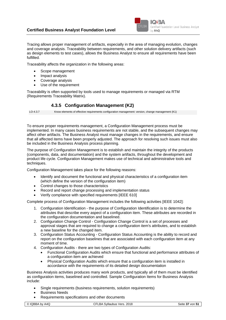

Tracing allows proper management of artifacts, especially in the area of managing evolution, changes and coverage analysis. Traceability between requirements, and other solution delivery artifacts (such as design elements to test cases), allows the Business Analyst to ensure all requirements have been fulfilled.

Traceability affects the organization in the following areas:

- Scope management
- Impact analysis
- Coverage analysis
- Use of the requirement

Traceability is often supported by tools used to manage requirements or managed via RTM (Requirements Traceability Matrix).

#### **4.3.5 Configuration Management (K2)**

LO-4.3.7 Know elements of effective requirements configuration management: version, change management (K1)

To ensure proper requirements management, a Configuration Management process must be implemented. In many cases business requirements are not stable, and the subsequent changes may affect other artifacts. The Business Analyst must manage changes in the requirements, and ensure that all affected items have been properly adjusted. The approach for resolving such issues must also be included in the Business Analysis process planning.

The purpose of Configuration Management is to establish and maintain the integrity of the products (components, data, and documentation) and the system artifacts, throughout the development and product life cycle. Configuration Management makes use of technical and administrative tools and techniques.

Configuration Management takes place for the following reasons:

- Identify and document the functional and physical characteristics of a configuration item (which define the version of the configuration item)
- Control changes to those characteristics
- Record and report change processing and implementation status
- Verify compliance with specified requirements [IEEE 610]

Complete process of Configuration Management includes the following activities [IEEE 1042]:

- 1. Configuration Identification the purpose of Configuration Identification is to determine the attributes that describe every aspect of a configuration item. These attributes are recorded in the configuration documentation and baselined.
- 2. Configuration Change Control Configuration Change Control is a set of processes and approval stages that are required to change a configuration item's attributes, and to establish a new baseline for the changed item.
- 3. Configuration Status Accounting Configuration Status Accounting is the ability to record and report on the configuration baselines that are associated with each configuration item at any moment of time.
- 4. Configuration Audits there are two types of Configuration Audits:
	- Functional Configuration Audits which ensure that functional and performance attributes of a configuration item are achieved
	- Physical Configuration Audits which ensure that a configuration item is installed in accordance with the requirements of its detailed design documentation

Business Analysis activities produces many work products, and typically all of them must be identified as configuration items, baselined and controlled. Sample Configuration Items for Business Analysis include:

- Single requirements (business requirements, solution requirements)
- Business Needs
- Requirements specifications and other documents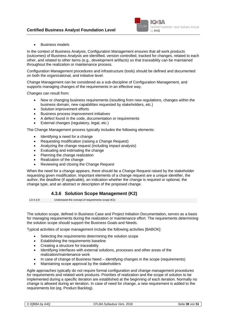

• Business models

In the context of Business Analysis, Configuration Management ensures that all work products (outcomes) of Business Analysis are identified, version controlled, tracked for changes, related to each other, and related to other items (e.g., development artifacts) so that traceability can be maintained throughout the realization or maintenance process.

Configuration Management procedures and infrastructure (tools) should be defined and documented on both the organizational, and initiative level.

Change Management can be considered as a sub-discipline of Configuration Management, and supports managing changes of the requirements in an effective way.

Changes can result from:

- New or changing business requirements (resulting from new regulations, changes within the business domain, new capabilities requested by stakeholders, etc.)
- Solution improvement efforts
- Business process improvement initiatives
- A defect found in the code, documentation or requirements
- External changes (regulatory, legal, etc.)

The Change Management process typically includes the following elements:

- Identifying a need for a change
- Requesting modification (raising a Change Request)
- Analyzing the change request (including impact analysis)
- Evaluating and estimating the change
- Planning the change realization
- Realization of the change
- Reviewing and closing the Change Request

When the need for a change appears, there should be a Change Request raised by the stakeholder requesting given modification. Important elements of a change request are a unique identifier, the author, the deadline (if applicable), an indication whether the change is required or optional, the change type, and an abstract or description of the proposed change.

#### **4.3.6 Solution Scope Management (K2)**

LO-4.3.8 Understand the concept of requirements scope (K2)

The solution scope, defined in Business Case and Project Initiation Documentation, serves as a basis for managing requirements during the realization or maintenance effort. The requirements determining the solution scope should support the Business Goals and Needs.

Typical activities of scope management include the following activities [BABOK]:

- Selecting the requirements determining the solution scope
- Establishing the requirements baseline
- Creating a structure for traceability
- Identifying interfaces with external solutions, processes and other areas of the realization/maintenance work
- In case of change of Business Need identifying changes in the scope (requirements)
- Maintaining scope approval by the stakeholders

Agile approaches typically do not require formal configuration and change management procedures for requirements and related work products. Priorities of realization and the scope of solution to be implemented during a specific iteration are established at the beginning of each iteration. Normally no change is allowed during an iteration. In case of need for change, a new requirement is added to the requirements list (eg. Product Backlog).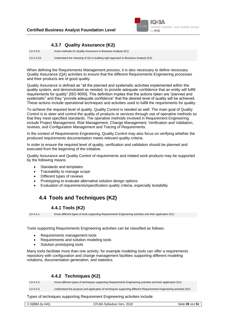#### **Certified Business Analyst Foundation Level**



#### **4.3.7 Quality Assurance (K2)**

LO-4.3.9 Know methods for Quality Assurance in Business Analysis (K1) LO-4.3.10 Understand the meaning of QA in building right approach to Business Analysis (K2)

When defining the Requirements Management process, it is also necessary to define necessary Quality Assurance (QA) activities to ensure that the different Requirements Engineering processes and their products are of good quality.

Quality Assurance is defined as "all the planned and systematic activities implemented within the quality system, and demonstrated as needed, to provide adequate confidence that an entity will fulfill requirements for quality" [ISO 9000]. This definition implies that the actions taken are "planned and systematic" and they "provide adequate confidence" that the desired level of quality will be achieved. These actions include operational techniques and activities used to fulfill the requirements for quality.

To achieve the required level of quality, Quality Control is needed as well. The main goal of Quality Control is to steer and control the quality of products or services through use of operative methods so that they meet specified standards. The operative methods involved in Requirement Engineering include Project Management, Risk Management, Change Management, Verification and Validation, reviews, and Configuration Management and Tracing of Requirements.

In the context of Requirements Engineering, Quality Control may also focus on verifying whether the produced requirements documentation meets relevant quality criteria.

In order to ensure the required level of quality, verification and validation should be planned and executed from the beginning of the initiative.

Quality Assurance and Quality Control of requirements and related work products may be supported by the following means:

- Standards and templates
- Traceability to manage scope
- Different types of reviews
- Prototyping to evaluate alternative solution design options
- <span id="page-38-0"></span>• Evaluation of requirements/specification quality criteria, especially testability

# **4.4 Tools and Techniques (K2)**

#### **4.4.1 Tools (K2)**

LO-4.4.1 Know different types of tools supporting Requirements Engineering activities and their application (K1)

Tools supporting Requirements Engineering activities can be classified as follows:

- Requirements management tools
- Requirements and solution modeling tools
- Solution prototyping tools

Many tools facilitate more than one activity, for example modeling tools can offer a requirements repository with configuration and change management facilities supporting different modeling notations, documentation generation, and statistics.

#### **4.4.2 Techniques (K2)**

LO-4.4.2 Know different types of techniques supporting Requirements Engineering activities and their application (K1)

LO-4.4.3 Understand the purpose and application of techniques supporting different Requirements Engineering activities (K2)

Types of techniques supporting Requirement Engineering activities include: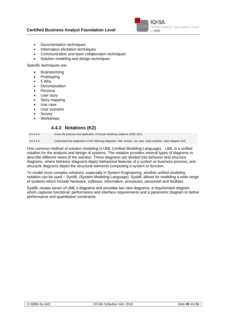

- Documentation techniques
- Information elicitation techniques
- Communication and team collaboration techniques
- Solution modeling and design techniques

Specific techniques are:

- **Brainstorming**
- **Prototyping**
- 5 Why
- **Decomposition**
- Persona
- User story
- Story mapping
- Use case
- User scenario
- **Survey**
- **Workshops**

#### **4.4.3 Notations (K2)**

LO-4.4.4 Know the purpose and application of formal modeling notations (UML) (K1)

LO-4.4.5 Understand the application of the following diagrams: UML activity, use case, state machine, class diagram (K2)

One common method of solution modeling is UML (Unified Modeling Language). . UML is a unified notation for the analysis and design of systems. The notation provides several types of diagrams to describe different views of the solution. These diagrams are divided into behavior and structure diagrams, where behavior diagrams depict behavioral features of a system or business process, and structure diagrams depict the structural elements composing a system or function.

To model more complex solutions, especially in System Engineering, another unified modeling notation can be used – SysML (System Modeling Language). SysML allows for modeling a wide range of systems which include hardware, software, information, processes, personnel and facilities.

SysML reuses seven of UML's diagrams and provides two new diagrams: a requirement diagram which captures functional, performance and interface requirements and a parametric diagram to define performance and quantitative constraints.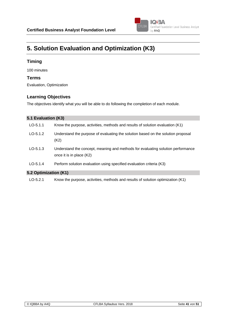

# **5. Solution Evaluation and Optimization (K3)**

#### **Timing**

100 minutes

#### **Terms**

Evaluation, Optimization

#### **Learning Objectives**

The objectives identify what you will be able to do following the completion of each module.

| 5.1 Evaluation (K3)   |                                                                                                             |
|-----------------------|-------------------------------------------------------------------------------------------------------------|
| $LO-5.1.1$            | Know the purpose, activities, methods and results of solution evaluation (K1)                               |
| $LO-5.1.2$            | Understand the purpose of evaluating the solution based on the solution proposal<br>(K2)                    |
| $LO-5.1.3$            | Understand the concept, meaning and methods for evaluating solution performance<br>once it is in place (K2) |
| $LO-5.1.4$            | Perform solution evaluation using specified evaluation criteria (K3)                                        |
| 5.2 Optimization (K1) |                                                                                                             |

#### **5.2 Optimization (K1)**

LO-5.2.1 Know the purpose, activities, methods and results of solution optimization (K1)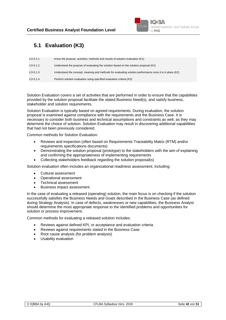

# **5.1 Evaluation (K3)**

| $LO-5.1.1$ | Know the purpose, activities, methods and results of solution evaluation (K1)                            |
|------------|----------------------------------------------------------------------------------------------------------|
| $LO-5.1.2$ | Understand the purpose of evaluating the solution based on the solution proposal (K2)                    |
| $LO-5.1.3$ | Understand the concept, meaning and methods for evaluating solution performance once it is in place (K2) |
| $LO-5.1.4$ | Perform solution evaluation using specified evaluation criteria (K3)                                     |

Solution Evaluation covers a set of activities that are performed in order to ensure that the capabilities provided by the solution proposal facilitate the stated Business Need(s), and satisfy business, stakeholder and solution requirements.

Solution Evaluation is typically based on agreed requirements. During evaluation, the solution proposal is examined against compliance with the requirements and the Business Case. It is necessary to consider both business and technical assumptions and constraints as well, as they may determine the choice of solution. Solution Evaluation may result in discovering additional capabilities that had not been previously considered.

Common methods for Solution Evaluation:

- Reviews and inspection (often based on Requirements Traceability Matrix (RTM) and/or requirements specifications documents)
- Demonstrating the solution proposal (prototype) to the stakeholders with the aim of explaining and confirming the appropriateness of implementing requirements
- Collecting stakeholders feedback regarding the solution proposal(s)

Solution evaluation often includes an organizational readiness assessment, including:

- Cultural assessment
- Operational assessment
- Technical assessment
- Business impact assessment

In the case of evaluating a released (operating) solution, the main focus is on checking if the solution successfully satisfies the Business Needs and Goals described in the Business Case (as defined during Strategy Analysis). In case of defects, weaknesses or new capabilities, the Business Analyst should determine the most appropriate response to the identified problems and opportunities for solution or process improvement.

Common methods for evaluating a released solution includes:

- Reviews against defined KPI, or acceptance and evaluation criteria
- Reviews against requirements stated in the Business Case
- Root cause analysis (for problem analysis)
- Usability evaluation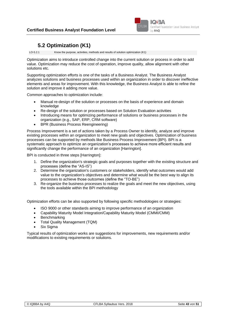

# **5.2 Optimization (K1)**

LO-5.2.1 Know the purpose, activities, methods and results of solution optimization (K1)

Optimization aims to introduce controlled change into the current solution or process in order to add value. Optimization may reduce the cost of operation, improve quality, allow alignment with other solutions etc.

Supporting optimization efforts is one of the tasks of a Business Analyst. The Business Analyst analyzes solutions and business processes used within an organization in order to discover ineffective elements and areas for improvement. With this knowledge, the Business Analyst is able to refine the solution and improve it adding more value.

Common approaches to optimization include:

- Manual re-design of the solution or processes on the basis of experience and domain knowledge
- Re-design of the solution or processes based on Solution Evaluation activities
- Introducing means for optimizing performance of solutions or business processes in the organization (e.g., SAP, ERP, CRM software)
- BPR (Business Process Reengineering)

Process Improvement is a set of actions taken by a Process Owner to identify, analyze and improve existing processes within an organization to meet new goals and objectives. Optimization of business processes can be supported by methods like Business Process Improvement (BPI). BPI is a systematic approach to optimize an organization's processes to achieve more efficient results and significantly change the performance of an organization [Harrington].

BPI is conducted in three steps [Harrington]:

- 1. Define the organization's strategic goals and purposes together with the existing structure and processes (define the "AS-IS")
- 2. Determine the organization's customers or stakeholders, identify what outcomes would add value to the organization's objectives and determine what would be the best way to align its processes to achieve those outcomes (define the "TO-BE")
- 3. Re-organize the business processes to realize the goals and meet the new objectives, using the tools available within the BPI methodology

Optimization efforts can be also supported by following specific methodologies or strategies:

- ISO 9000 or other standards aiming to improve performance of an organization
- Capability Maturity Model Integration/Capability Maturity Model (CMMI/CMM)
- **Benchmarking**
- Total Quality Management (TQM)
- Six Sigma

Typical results of optimization works are suggestions for improvements, new requirements and/or modifications to existing requirements or solutions.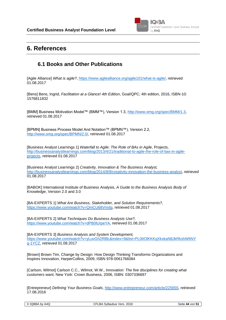

# **6. References**

### **6.1 Books and Other Publications**

[Agile Alliance] *What is agile?*[, https://www.agilealliance.org/agile101/what-is-agile/,](https://www.agilealliance.org/agile101/what-is-agile/) retrieved 01.08.2017

[Bens] Bens, Ingrid, *Facilitation at a Glance! 4th Edition*, Goal/QPC; 4th edition, 2016, ISBN-10: 1576811832

[BMM] Business Motivation Model™ (BMM™), Version 1.3, [http://www.omg.org/spec/BMM/1.3,](http://www.omg.org/spec/BMM/1.3) retrieved 01.08.2017

[BPMN] Business Process Model And Notation™ (BPMN™), Version 2.2, [http://www.omg.org/spec/BPMN/2.0/,](http://www.omg.org/spec/BPMN/2.0/) retrieved 01.08.2017

[Business Analyst Learnings 1] *Waterfall to Agile: The Role of BAs in Agile*, Projects, [http://businessanalystlearnings.com/blog/2013/4/21/traditional-to-agile-the-role-of-bas-in-agile](http://businessanalystlearnings.com/blog/2013/4/21/traditional-to-agile-the-role-of-bas-in-agile-projects)[projects,](http://businessanalystlearnings.com/blog/2013/4/21/traditional-to-agile-the-role-of-bas-in-agile-projects) retrieved 01.08.2017

[Business Analyst Learnings 2] *Creativity, Innovation & The Business Analyst,* [http://businessanalystlearnings.com/blog/2014/9/9/creativity-innovation-the-business-analyst,](http://businessanalystlearnings.com/blog/2014/9/9/creativity-innovation-the-business-analyst) retrieved 01.08.2017

[BABOK] International Institute of Business Analysis, *A Guide to the Business Analysis Body of Knowledge*, Version 2.0 and 3.0

[BA-EXPERTS 1] *What Are Business, Stakeholder, and Solution Requirements?,* [https://www.youtube.com/watch?v=QmCU68Vnrdg,](https://www.youtube.com/watch?v=QmCU68Vnrdg) retrieved 01.08.2017

[BA-EXPERTS 2] *What Techniques Do Business Analysts Use?,* [https://www.youtube.com/watch?v=dPB0lUrpeYA,](https://www.youtube.com/watch?v=dPB0lUrpeYA) retrieved 01.08.2017

[BA-EXPERTS 3] *Business Analysis and System Development,* [https://www.youtube.com/watch?v=yLuvGh2RlBc&index=9&list=PL0tIOlKKKqXkxkaN8JkRkshW6NY](https://www.youtube.com/watch?v=yLuvGh2RlBc&index=9&list=PL0tIOlKKKqXkxkaN8JkRkshW6NYg-1YCZ) [g-1YCZ,](https://www.youtube.com/watch?v=yLuvGh2RlBc&index=9&list=PL0tIOlKKKqXkxkaN8JkRkshW6NYg-1YCZ) retrieved 01.08.2017

[Brown] Brown Tim, Change by Design: How Design Thinking Transforms Organizations and Inspires Innovation, HarperCollins, 2009, ISBN 978-0061766084

[Carlson, Wilmot] Carlson C.C., Wilmot, W.W., *Innovation: The five disciplines for creating what customers want,* New York: Crown Business, 2006, ISBN: 0307336697

[Entrepreneur] *Defining Your Business Goals*, [http://www.entrepreneur.com/article/225655,](http://www.entrepreneur.com/article/225655) retrieved 17.08.2016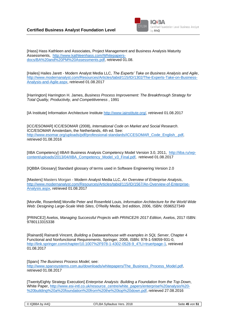

[Hass] Hass Kathleen and Associates, Project Management and Business Analysis Maturity Assessments, [http://www.kathleenhass.com/Whitepapers](http://www.kathleenhass.com/Whitepapers-docs/BA%20and%20PM%20Assessments.pdf)[docs/BA%20and%20PM%20Assessments.pdf,](http://www.kathleenhass.com/Whitepapers-docs/BA%20and%20PM%20Assessments.pdf) retrieved 01.08.

[Hailes] Hailes Jarett - Modern Analyst Media LLC, *The Experts' Take on Business Analysis and Agile*, [http://www.modernanalyst.com/Resources/Articles/tabid/115/ID/1302/The-Experts-Take-on-Business-](http://www.modernanalyst.com/Resources/Articles/tabid/115/ID/1302/The-Experts-Take-on-Business-Analysis-and-Agile.aspx)[Analysis-and-Agile.aspx,](http://www.modernanalyst.com/Resources/Articles/tabid/115/ID/1302/The-Experts-Take-on-Business-Analysis-and-Agile.aspx) retrieved 01.08.2017

[Harrington] Harrington H. James, *Business Process Improvement: The Breakthrough Strategy for Total Quality, Productivity, and Competitiveness* , 1991

[IA Institute] Information Architecture Institute [http://www.iainstitute.org/,](http://www.iainstitute.org/) retrieved 01.08.2017

[ICC/ESOMAR] ICC/ESOMAR (2008), *International Code on Market and Social Research*. ICC/ESOMAR Amsterdam, the Netherlands, 4th ed. See: [http://www.esomar.org/uploads/pdf/professional-standards/ICCESOMAR\\_Code\\_English\\_.pdf,](http://www.esomar.org/uploads/pdf/professional-standards/ICCESOMAR_Code_English_.pdf) retrieved 01.08.2016

[IIBA Competency] IIBA® Business Analysis Competency Model Version 3.0, 2011, [http://iiba.ru/wp](http://iiba.ru/wp-content/uploads/2013/04/IIBA_Competency_Model_v3_Final.pdf)[content/uploads/2013/04/IIBA\\_Competency\\_Model\\_v3\\_Final.pdf,](http://iiba.ru/wp-content/uploads/2013/04/IIBA_Competency_Model_v3_Final.pdf) retrieved 01.08.2017

[IQBBA Glossary] Standard glossary of terms used in Software Engineering Version 2.0

[Masters] Masters Morgan - Modern Analyst Media LLC, *An Overview of Enterprise Analysis*, [http://www.modernanalyst.com/Resources/Articles/tabid/115/ID/1567/An-Overview-of-Enterprise-](http://www.modernanalyst.com/Resources/Articles/tabid/115/ID/1567/An-Overview-of-Enterprise-Analysis.aspx)[Analysis.aspx,](http://www.modernanalyst.com/Resources/Articles/tabid/115/ID/1567/An-Overview-of-Enterprise-Analysis.aspx) retrieved 01.08.2017

[Morville, Rosenfeld] Morville Peter and Rosenfeld Louis, *Information Architecture for the World Wide Web: Designing Large-Scale Web Sites*, O'Reilly Media; 3rd edition, 2006, ISBN: 0596527349

[PRINCE2] Axelos, *Managing Successful Projects with PRINCE2® 2017 Edition*, Axelos, 2017 ISBN: 9780113315338

[Rainardi] Rainardi Vincent, *Building a Datawarehouse with examples in SQL Server*, Chapter 4 Functional and Nonfunctional Requirements, Springer, 2008, ISBN: 978-1-59059-931-0, [http://link.springer.com/chapter/10.1007%2F978-1-4302-0528-9\\_4?LI=true#page-1,](http://link.springer.com/chapter/10.1007%2F978-1-4302-0528-9_4?LI=true#page-1) retrieved 01.08.2017

[Sparx] *The Business Process Model*, see: [http://www.sparxsystems.com.au/downloads/whitepapers/The\\_Business\\_Process\\_Model.pdf,](http://www.sparxsystems.com.au/downloads/whitepapers/The_Business_Process_Model.pdf) retrieved 01.08.2017

[TwentyEighty Strategy Execution] *Enterprise Analysis: Building a Foundation from the Top Down*, White Paper, [http://www.esi-intl.co.uk/resource\\_centre/white\\_papers/enterprise%20analysis%20-](http://www.esi-intl.co.uk/resource_centre/white_papers/enterprise%20analysis%20-%20building%20a%20foundation%20from%20the%20top%20down.pdf) [%20building%20a%20foundation%20from%20the%20top%20down.pdf,](http://www.esi-intl.co.uk/resource_centre/white_papers/enterprise%20analysis%20-%20building%20a%20foundation%20from%20the%20top%20down.pdf) retrieved 27.08.2016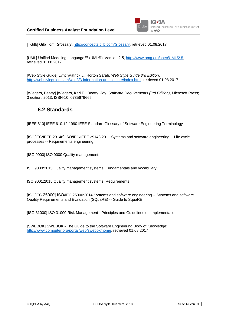

[TGilb] Gilb Tom, *Glossary*, [http://concepts.gilb.com/Glossary,](http://concepts.gilb.com/Glossary) retrieved 01.08.2017

[UML] Unified Modeling Language™ (UML®), Version 2.5, [http://www.omg.org/spec/UML/2.5,](http://www.omg.org/spec/UML/2.5) retrieved 01.08.2017

[Web Style Guide] LynchPatrick J., Horton Sarah*, Web Style Guide 3rd Edition*, [http://webstyleguide.com/wsg3/3-information-architecture/index.html,](http://webstyleguide.com/wsg3/3-information-architecture/index.html) retrieved 01.08.2017

[Wiegers, Beatty] ]Wiegers, Karl E., Beatty, Joy, *Software Requirements (3rd Edition)*, Microsoft Press; 3 edition, 2013, ISBN-10: 0735679665

#### **6.2 Standards**

[IEEE 610] IEEE 610.12-1990 IEEE Standard Glossary of Software Engineering Terminology

[ISO/IEC/IEEE 29148] ISO/IEC/IEEE 29148:2011 Systems and software engineering -- Life cycle processes -- Requirements engineering

[ISO 9000] ISO 9000 Quality management:

ISO 9000:2015 Quality management systems. Fundamentals and vocabulary

ISO 9001:2015 Quality management systems. Requirements

[ISO/IEC 25000] ISO/IEC 25000:2014 Systems and software engineering -- Systems and software Quality Requirements and Evaluation (SQuaRE) -- Guide to SquaRE

[ISO 31000] ISO 31000 Risk Management - Principles and Guidelines on Implementation

[SWEBOK] SWEBOK - The Guide to the Software Engineering Body of Knowledge: [http://www.computer.org/portal/web/swebok/home,](http://www.computer.org/portal/web/swebok/home) retrieved 01.08.2017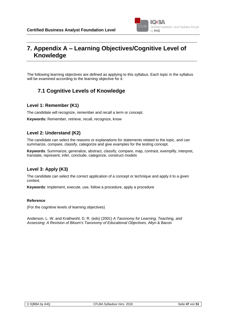

# **7. Appendix A – Learning Objectives/Cognitive Level of Knowledge**

The following learning objectives are defined as applying to this syllabus. Each topic in the syllabus will be examined according to the learning objective for it.

# **7.1 Cognitive Levels of Knowledge**

#### **Level 1: Remember (K1)**

The candidate will recognize, remember and recall a term or concept.

**Keywords:** Remember, retrieve, recall, recognize, know

#### **Level 2: Understand (K2)**

The candidate can select the reasons or explanations for statements related to the topic, and can summarize, compare, classify, categorize and give examples for the testing concept.

**Keywords**: Summarize, generalize, abstract, classify, compare, map, contrast, exemplify, interpret, translate, represent, infer, conclude, categorize, construct models

#### **Level 3: Apply (K3)**

The candidate can select the correct application of a concept or technique and apply it to a given context.

**Keywords**: Implement, execute, use, follow a procedure, apply a procedure

#### **Reference**

(For the cognitive levels of learning objectives)

Anderson, L. W. and Krathwohl, D. R. (eds) (2001) *A Taxonomy for Learning, Teaching, and Assessing: A Revision of Bloom's Taxonomy of Educational Objectives*, Allyn & Bacon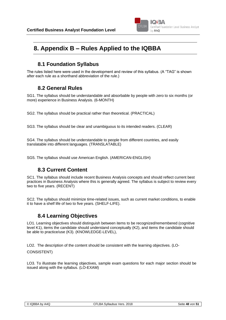

# **8. Appendix B – Rules Applied to the IQBBA**

# **8.1 Foundation Syllabus**

The rules listed here were used in the development and review of this syllabus. (A "TAG" is shown after each rule as a shorthand abbreviation of the rule.)

### **8.2 General Rules**

SG1. The syllabus should be understandable and absorbable by people with zero to six months (or more) experience in Business Analysis. (6-MONTH)

SG2. The syllabus should be practical rather than theoretical. (PRACTICAL)

SG3. The syllabus should be clear and unambiguous to its intended readers. (CLEAR)

SG4. The syllabus should be understandable to people from different countries, and easily translatable into different languages. (TRANSLATABLE)

SG5. The syllabus should use American English. (AMERICAN-ENGLISH)

### **8.3 Current Content**

SC1. The syllabus should include recent Business Analysis concepts and should reflect current best practices in Business Analysis where this is generally agreed. The syllabus is subject to review every two to five years. (RECENT)

SC2. The syllabus should minimize time-related issues, such as current market conditions, to enable it to have a shelf life of two to five years. (SHELF-LIFE).

### **8.4 Learning Objectives**

LO1. Learning objectives should distinguish between items to be recognized/remembered (cognitive level K1), items the candidate should understand conceptually (K2), and items the candidate should be able to practice/use (K3). (KNOWLEDGE-LEVEL),

LO2. The description of the content should be consistent with the learning objectives. (LO-

CONSISTENT)

LO3. To illustrate the learning objectives, sample exam questions for each major section should be issued along with the syllabus. (LO-EXAM)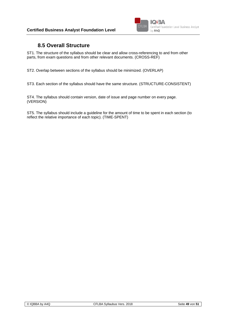

### **8.5 Overall Structure**

ST1. The structure of the syllabus should be clear and allow cross-referencing to and from other parts, from exam questions and from other relevant documents. (CROSS-REF)

ST2. Overlap between sections of the syllabus should be minimized. (OVERLAP)

ST3. Each section of the syllabus should have the same structure. (STRUCTURE-CONSISTENT)

ST4. The syllabus should contain version, date of issue and page number on every page. (VERSION)

ST5. The syllabus should include a guideline for the amount of time to be spent in each section (to reflect the relative importance of each topic). (TIME-SPENT)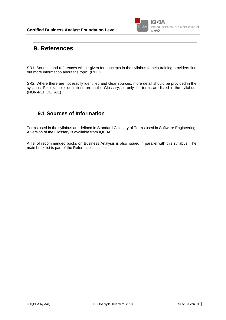

# **9. References**

SR1. Sources and references will be given for concepts in the syllabus to help training providers find out more information about the topic. (REFS)

SR2. Where there are not readily identified and clear sources, more detail should be provided in the syllabus. For example, definitions are in the Glossary, so only the terms are listed in the syllabus. (NON-REF DETAIL)

### **9.1 Sources of Information**

Terms used in the syllabus are defined in Standard Glossary of Terms used in Software Engineering. A version of the Glossary is available from IQBBA.

A list of recommended books on Business Analysis is also issued in parallel with this syllabus. The main book list is part of the References section.